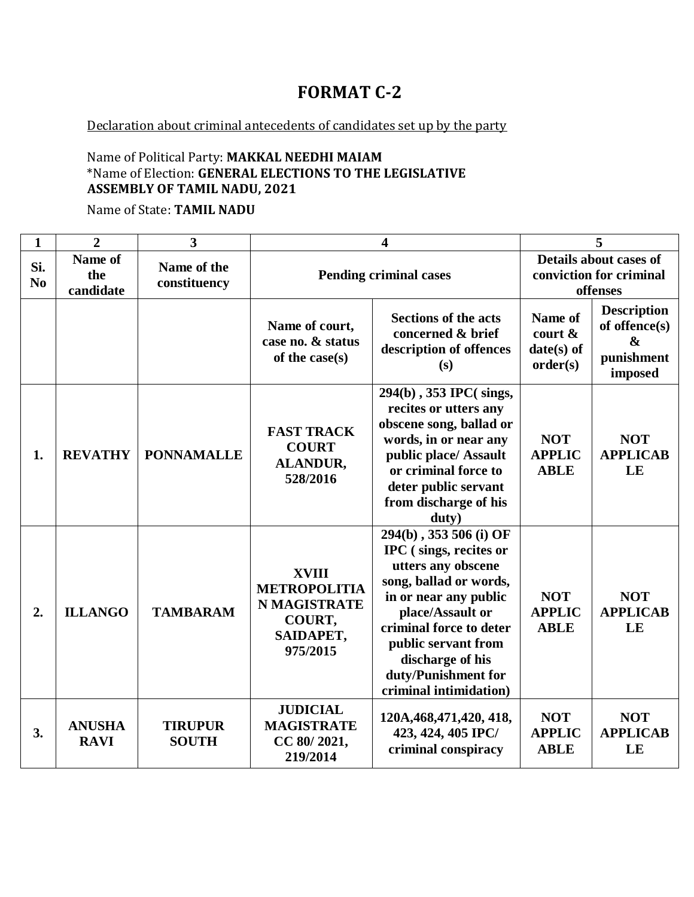# **FORMAT C-2**

Declaration about criminal antecedents of candidates set up by the party

### Name of Political Party: **MAKKAL NEEDHI MAIAM** \*Name of Election: **GENERAL ELECTIONS TO THE LEGISLATIVE ASSEMBLY OF TAMIL NADU, 2021**

Name of State: **TAMIL NADU**

| $\mathbf{1}$          | $\overline{2}$               | $\overline{3}$                 | $\overline{\mathbf{4}}$                                                                       |                                                                                                                                                                                                                                                                      | 5                                                 |                                                                   |
|-----------------------|------------------------------|--------------------------------|-----------------------------------------------------------------------------------------------|----------------------------------------------------------------------------------------------------------------------------------------------------------------------------------------------------------------------------------------------------------------------|---------------------------------------------------|-------------------------------------------------------------------|
| Si.<br>N <sub>0</sub> | Name of<br>the<br>candidate  | Name of the<br>constituency    |                                                                                               | <b>Pending criminal cases</b>                                                                                                                                                                                                                                        |                                                   | Details about cases of<br>conviction for criminal<br>offenses     |
|                       |                              |                                | Name of court,<br>case no. & status<br>of the case(s)                                         | <b>Sections of the acts</b><br>concerned & brief<br>description of offences<br>(s)                                                                                                                                                                                   | Name of<br>court $\&$<br>$date(s)$ of<br>order(s) | <b>Description</b><br>of offence(s)<br>&<br>punishment<br>imposed |
| 1.                    | <b>REVATHY</b>               | <b>PONNAMALLE</b>              | <b>FAST TRACK</b><br><b>COURT</b><br><b>ALANDUR,</b><br>528/2016                              | 294(b), 353 IPC(sings,<br>recites or utters any<br>obscene song, ballad or<br>words, in or near any<br>public place/ Assault<br>or criminal force to<br>deter public servant<br>from discharge of his<br>duty)                                                       | <b>NOT</b><br><b>APPLIC</b><br><b>ABLE</b>        | <b>NOT</b><br><b>APPLICAB</b><br>LE                               |
| 2.                    | <b>ILLANGO</b>               | <b>TAMBARAM</b>                | <b>XVIII</b><br><b>METROPOLITIA</b><br><b>N MAGISTRATE</b><br>COURT,<br>SAIDAPET,<br>975/2015 | 294(b), 353 506 (i) OF<br>IPC (sings, recites or<br>utters any obscene<br>song, ballad or words,<br>in or near any public<br>place/Assault or<br>criminal force to deter<br>public servant from<br>discharge of his<br>duty/Punishment for<br>criminal intimidation) | <b>NOT</b><br><b>APPLIC</b><br><b>ABLE</b>        | <b>NOT</b><br><b>APPLICAB</b><br>LE                               |
| 3.                    | <b>ANUSHA</b><br><b>RAVI</b> | <b>TIRUPUR</b><br><b>SOUTH</b> | <b>JUDICIAL</b><br><b>MAGISTRATE</b><br>CC 80/2021,<br>219/2014                               | 120A, 468, 471, 420, 418,<br>423, 424, 405 IPC/<br>criminal conspiracy                                                                                                                                                                                               | <b>NOT</b><br><b>APPLIC</b><br><b>ABLE</b>        | <b>NOT</b><br><b>APPLICAB</b><br>LE                               |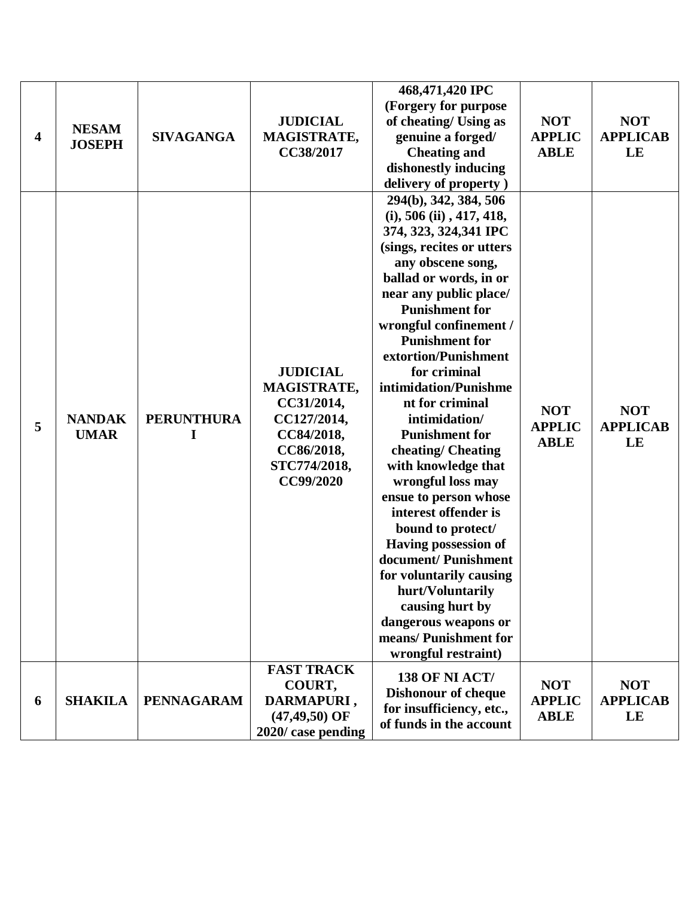| 6 | <b>SHAKILA</b>                | <b>PENNAGARAM</b>      | <b>FAST TRACK</b><br>COURT,<br>DARMAPURI,<br>$(47, 49, 50)$ OF<br>2020/ case pending                                 | wrongful restraint)<br><b>138 OF NI ACT/</b><br><b>Dishonour of cheque</b><br>for insufficiency, etc.,<br>of funds in the account                                                                                                                                                                                                                                                                                                                                                                                                                                                                                                                                                                                   | <b>NOT</b><br><b>APPLIC</b><br><b>ABLE</b> | <b>NOT</b><br><b>APPLICAB</b><br>LE |
|---|-------------------------------|------------------------|----------------------------------------------------------------------------------------------------------------------|---------------------------------------------------------------------------------------------------------------------------------------------------------------------------------------------------------------------------------------------------------------------------------------------------------------------------------------------------------------------------------------------------------------------------------------------------------------------------------------------------------------------------------------------------------------------------------------------------------------------------------------------------------------------------------------------------------------------|--------------------------------------------|-------------------------------------|
| 5 | <b>NANDAK</b><br><b>UMAR</b>  | <b>PERUNTHURA</b><br>I | <b>JUDICIAL</b><br>MAGISTRATE,<br>CC31/2014,<br>CC127/2014,<br>CC84/2018,<br>CC86/2018,<br>STC774/2018,<br>CC99/2020 | 294(b), 342, 384, 506<br>$(i)$ , 506 $(ii)$ , 417, 418,<br>374, 323, 324, 341 IPC<br>(sings, recites or utters)<br>any obscene song,<br>ballad or words, in or<br>near any public place/<br><b>Punishment for</b><br>wrongful confinement /<br><b>Punishment for</b><br>extortion/Punishment<br>for criminal<br>intimidation/Punishme<br>nt for criminal<br>intimidation/<br><b>Punishment for</b><br>cheating/Cheating<br>with knowledge that<br>wrongful loss may<br>ensue to person whose<br>interest offender is<br>bound to protect/<br><b>Having possession of</b><br>document/ Punishment<br>for voluntarily causing<br>hurt/Voluntarily<br>causing hurt by<br>dangerous weapons or<br>means/ Punishment for | <b>NOT</b><br><b>APPLIC</b><br><b>ABLE</b> | <b>NOT</b><br><b>APPLICAB</b><br>LE |
| 4 | <b>NESAM</b><br><b>JOSEPH</b> | <b>SIVAGANGA</b>       | <b>JUDICIAL</b><br>MAGISTRATE,<br>CC38/2017                                                                          | 468,471,420 IPC<br>(Forgery for purpose<br>of cheating/ Using as<br>genuine a forged/<br><b>Cheating and</b><br>dishonestly inducing<br>delivery of property)                                                                                                                                                                                                                                                                                                                                                                                                                                                                                                                                                       | <b>NOT</b><br><b>APPLIC</b><br><b>ABLE</b> | <b>NOT</b><br><b>APPLICAB</b><br>LE |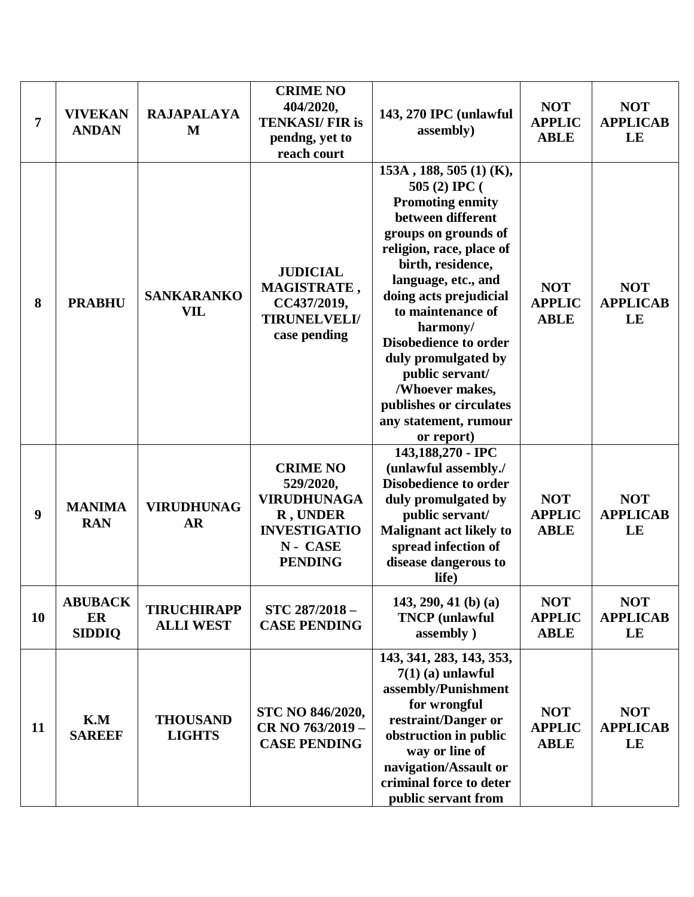| 7  | <b>VIVEKAN</b><br><b>ANDAN</b>        | <b>RAJAPALAYA</b><br>M                 | <b>CRIME NO</b><br>404/2020,<br><b>TENKASI/FIR is</b><br>pendng, yet to<br>reach court                             | 143, 270 IPC (unlawful<br>assembly)                                                                                                                                                                                                                                                                                                                                                                                | <b>NOT</b><br><b>APPLIC</b><br><b>ABLE</b> | <b>NOT</b><br><b>APPLICAB</b><br>LE |
|----|---------------------------------------|----------------------------------------|--------------------------------------------------------------------------------------------------------------------|--------------------------------------------------------------------------------------------------------------------------------------------------------------------------------------------------------------------------------------------------------------------------------------------------------------------------------------------------------------------------------------------------------------------|--------------------------------------------|-------------------------------------|
| 8  | <b>PRABHU</b>                         | <b>SANKARANKO</b><br>VIL               | <b>JUDICIAL</b><br>MAGISTRATE,<br>CC437/2019,<br><b>TIRUNELVELI/</b><br>case pending                               | 153A, 188, 505 (1) (K),<br>505 (2) IPC (<br><b>Promoting enmity</b><br>between different<br>groups on grounds of<br>religion, race, place of<br>birth, residence,<br>language, etc., and<br>doing acts prejudicial<br>to maintenance of<br>harmony/<br><b>Disobedience to order</b><br>duly promulgated by<br>public servant/<br>/Whoever makes,<br>publishes or circulates<br>any statement, rumour<br>or report) | <b>NOT</b><br><b>APPLIC</b><br><b>ABLE</b> | <b>NOT</b><br><b>APPLICAB</b><br>LE |
| 9  | <b>MANIMA</b><br><b>RAN</b>           | <b>VIRUDHUNAG</b><br><b>AR</b>         | <b>CRIME NO</b><br>529/2020,<br><b>VIRUDHUNAGA</b><br>R, UNDER<br><b>INVESTIGATIO</b><br>N- CASE<br><b>PENDING</b> | 143,188,270 - IPC<br>(unlawful assembly./<br><b>Disobedience to order</b><br>duly promulgated by<br>public servant/<br><b>Malignant act likely to</b><br>spread infection of<br>disease dangerous to<br>life)                                                                                                                                                                                                      | <b>NOT</b><br><b>APPLIC</b><br><b>ABLE</b> | <b>NOT</b><br><b>APPLICAB</b><br>LE |
| 10 | <b>ABUBACK</b><br>ER<br><b>SIDDIQ</b> | <b>TIRUCHIRAPP</b><br><b>ALLI WEST</b> | STC 287/2018-<br><b>CASE PENDING</b>                                                                               | $143, 290, 41$ (b) (a)<br><b>TNCP</b> (unlawful<br>assembly)                                                                                                                                                                                                                                                                                                                                                       | <b>NOT</b><br><b>APPLIC</b><br><b>ABLE</b> | <b>NOT</b><br><b>APPLICAB</b><br>LE |
| 11 | K.M<br><b>SAREEF</b>                  | <b>THOUSAND</b><br><b>LIGHTS</b>       | STC NO 846/2020,<br>CR NO 763/2019 -<br><b>CASE PENDING</b>                                                        | 143, 341, 283, 143, 353,<br>$7(1)$ (a) unlawful<br>assembly/Punishment<br>for wrongful<br>restraint/Danger or<br>obstruction in public<br>way or line of<br>navigation/Assault or<br>criminal force to deter<br>public servant from                                                                                                                                                                                | <b>NOT</b><br><b>APPLIC</b><br><b>ABLE</b> | <b>NOT</b><br><b>APPLICAB</b><br>LE |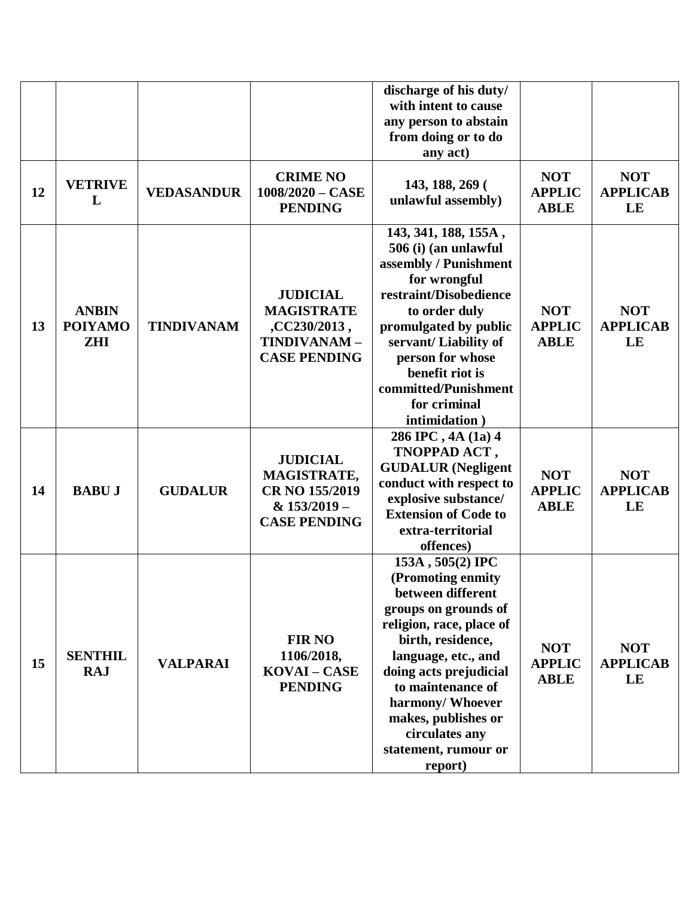|    |                                              |                   |                                                                                            | discharge of his duty/<br>with intent to cause<br>any person to abstain<br>from doing or to do<br>any act)                                                                                                                                                                                                |                                            |                                     |
|----|----------------------------------------------|-------------------|--------------------------------------------------------------------------------------------|-----------------------------------------------------------------------------------------------------------------------------------------------------------------------------------------------------------------------------------------------------------------------------------------------------------|--------------------------------------------|-------------------------------------|
| 12 | <b>VETRIVE</b><br>L                          | <b>VEDASANDUR</b> | <b>CRIME NO</b><br>$1008/2020 - CASE$<br><b>PENDING</b>                                    | 143, 188, 269 (<br>unlawful assembly)                                                                                                                                                                                                                                                                     | <b>NOT</b><br><b>APPLIC</b><br><b>ABLE</b> | <b>NOT</b><br><b>APPLICAB</b><br>LE |
| 13 | <b>ANBIN</b><br><b>POIYAMO</b><br><b>ZHI</b> | <b>TINDIVANAM</b> | <b>JUDICIAL</b><br><b>MAGISTRATE</b><br>,CC230/2013,<br>TINDIVANAM-<br><b>CASE PENDING</b> | 143, 341, 188, 155A,<br>506 (i) (an unlawful<br>assembly / Punishment<br>for wrongful<br>restraint/Disobedience<br>to order duly<br>promulgated by public<br>servant/Liability of<br>person for whose<br>benefit riot is<br>committed/Punishment<br>for criminal<br>intimidation)                         | <b>NOT</b><br><b>APPLIC</b><br><b>ABLE</b> | <b>NOT</b><br><b>APPLICAB</b><br>LE |
| 14 | <b>BABUJ</b>                                 | <b>GUDALUR</b>    | <b>JUDICIAL</b><br>MAGISTRATE,<br>CR NO 155/2019<br>& 153/2019 -<br><b>CASE PENDING</b>    | 286 IPC, 4A (1a) 4<br>TNOPPAD ACT,<br><b>GUDALUR</b> (Negligent<br>conduct with respect to<br>explosive substance/<br><b>Extension of Code to</b><br>extra-territorial<br>offences)                                                                                                                       | <b>NOT</b><br><b>APPLIC</b><br><b>ABLE</b> | <b>NOT</b><br><b>APPLICAB</b><br>LE |
| 15 | <b>SENTHIL</b><br><b>RAJ</b>                 | <b>VALPARAI</b>   | <b>FIR NO</b><br>1106/2018,<br>KOVAI - CASE<br><b>PENDING</b>                              | 153A, 505(2) IPC<br>(Promoting enmity<br>between different<br>groups on grounds of<br>religion, race, place of<br>birth, residence,<br>language, etc., and<br>doing acts prejudicial<br>to maintenance of<br>harmony/ Whoever<br>makes, publishes or<br>circulates any<br>statement, rumour or<br>report) | <b>NOT</b><br><b>APPLIC</b><br><b>ABLE</b> | <b>NOT</b><br><b>APPLICAB</b><br>LE |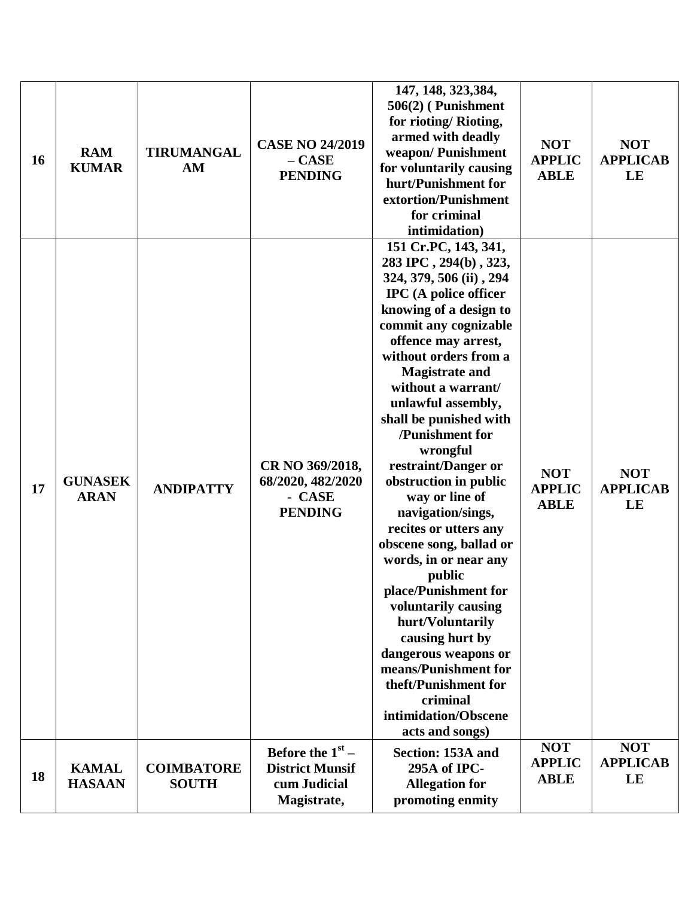| 16 | <b>RAM</b><br><b>KUMAR</b>    | <b>TIRUMANGAL</b><br>AM           | <b>CASE NO 24/2019</b><br>$- CASE$<br><b>PENDING</b>                        | 147, 148, 323, 384,<br>506(2) (Punishment<br>for rioting/Rioting,<br>armed with deadly<br>weapon/Punishment<br>for voluntarily causing<br>hurt/Punishment for<br>extortion/Punishment<br>for criminal<br>intimidation)                                                                                                                                                                                                                                                                                                                                                                                                                                                                                                                       | <b>NOT</b><br><b>APPLIC</b><br><b>ABLE</b> | <b>NOT</b><br><b>APPLICAB</b><br>LE |
|----|-------------------------------|-----------------------------------|-----------------------------------------------------------------------------|----------------------------------------------------------------------------------------------------------------------------------------------------------------------------------------------------------------------------------------------------------------------------------------------------------------------------------------------------------------------------------------------------------------------------------------------------------------------------------------------------------------------------------------------------------------------------------------------------------------------------------------------------------------------------------------------------------------------------------------------|--------------------------------------------|-------------------------------------|
| 17 | <b>GUNASEK</b><br><b>ARAN</b> | <b>ANDIPATTY</b>                  | CR NO 369/2018,<br>68/2020, 482/2020<br>- CASE<br><b>PENDING</b>            | 151 Cr.PC, 143, 341,<br>283 IPC, 294(b), 323,<br>324, 379, 506 (ii), 294<br><b>IPC</b> (A police officer<br>knowing of a design to<br>commit any cognizable<br>offence may arrest,<br>without orders from a<br><b>Magistrate and</b><br>without a warrant/<br>unlawful assembly,<br>shall be punished with<br>/Punishment for<br>wrongful<br>restraint/Danger or<br>obstruction in public<br>way or line of<br>navigation/sings,<br>recites or utters any<br>obscene song, ballad or<br>words, in or near any<br>public<br>place/Punishment for<br>voluntarily causing<br>hurt/Voluntarily<br>causing hurt by<br>dangerous weapons or<br>means/Punishment for<br>theft/Punishment for<br>criminal<br>intimidation/Obscene<br>acts and songs) | <b>NOT</b><br><b>APPLIC</b><br><b>ABLE</b> | <b>NOT</b><br><b>APPLICAB</b><br>LE |
| 18 | <b>KAMAL</b><br><b>HASAAN</b> | <b>COIMBATORE</b><br><b>SOUTH</b> | Before the $1st$ –<br><b>District Munsif</b><br>cum Judicial<br>Magistrate, | Section: 153A and<br>295A of IPC-<br><b>Allegation for</b><br>promoting enmity                                                                                                                                                                                                                                                                                                                                                                                                                                                                                                                                                                                                                                                               | <b>NOT</b><br><b>APPLIC</b><br><b>ABLE</b> | <b>NOT</b><br><b>APPLICAB</b><br>LE |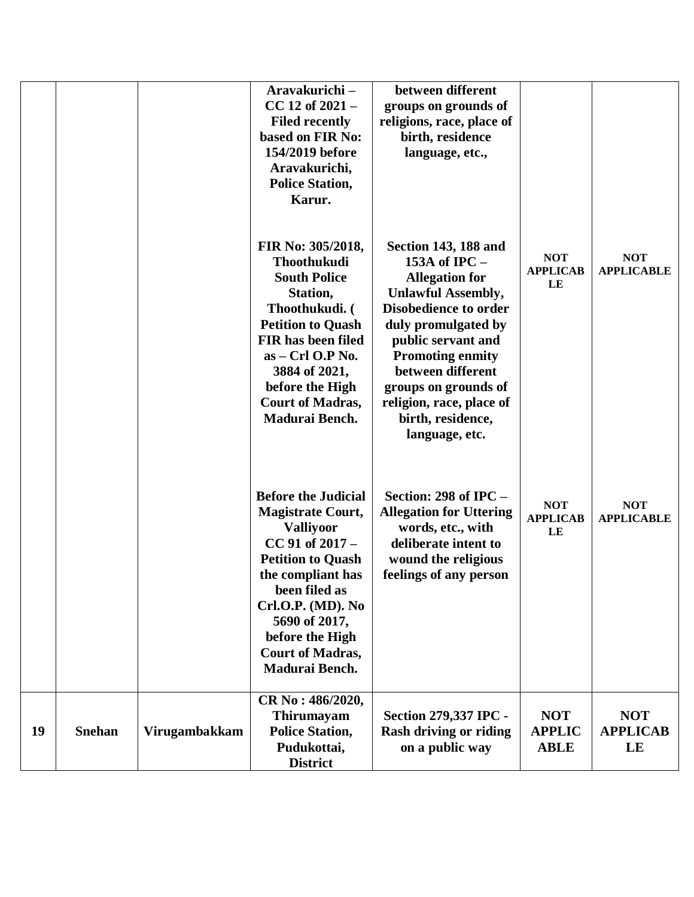|    |               |               | Aravakurichi-<br>$CC 12$ of $2021 -$<br><b>Filed recently</b><br>based on FIR No:<br>154/2019 before<br>Aravakurichi,<br><b>Police Station,</b><br>Karur.                                                                                                               | between different<br>groups on grounds of<br>religions, race, place of<br>birth, residence<br>language, etc.,                                                                                                                                                                                                       |                                            |                                     |
|----|---------------|---------------|-------------------------------------------------------------------------------------------------------------------------------------------------------------------------------------------------------------------------------------------------------------------------|---------------------------------------------------------------------------------------------------------------------------------------------------------------------------------------------------------------------------------------------------------------------------------------------------------------------|--------------------------------------------|-------------------------------------|
|    |               |               | FIR No: 305/2018,<br><b>Thoothukudi</b><br><b>South Police</b><br>Station,<br>Thoothukudi. (<br><b>Petition to Quash</b><br><b>FIR has been filed</b><br>$as - Crl$ O.P No.<br>3884 of 2021,<br>before the High<br><b>Court of Madras,</b><br>Madurai Bench.            | Section 143, 188 and<br>153A of IPC -<br><b>Allegation for</b><br><b>Unlawful Assembly,</b><br><b>Disobedience to order</b><br>duly promulgated by<br>public servant and<br><b>Promoting enmity</b><br>between different<br>groups on grounds of<br>religion, race, place of<br>birth, residence,<br>language, etc. | <b>NOT</b><br><b>APPLICAB</b><br>LE        | <b>NOT</b><br><b>APPLICABLE</b>     |
|    |               |               | <b>Before the Judicial</b><br><b>Magistrate Court,</b><br><b>Valliyoor</b><br>$CC$ 91 of 2017 –<br><b>Petition to Quash</b><br>the compliant has<br>been filed as<br>Crl.O.P. (MD). No<br>5690 of 2017,<br>before the High<br><b>Court of Madras,</b><br>Madurai Bench. | Section: $298$ of IPC –<br><b>Allegation for Uttering</b><br>words, etc., with<br>deliberate intent to<br>wound the religious<br>feelings of any person                                                                                                                                                             | <b>NOT</b><br><b>APPLICAB</b><br>LE        | <b>NOT</b><br><b>APPLICABLE</b>     |
| 19 | <b>Snehan</b> | Virugambakkam | CR No: 486/2020,<br>Thirumayam<br><b>Police Station,</b><br>Pudukottai,<br><b>District</b>                                                                                                                                                                              | <b>Section 279,337 IPC -</b><br><b>Rash driving or riding</b><br>on a public way                                                                                                                                                                                                                                    | <b>NOT</b><br><b>APPLIC</b><br><b>ABLE</b> | <b>NOT</b><br><b>APPLICAB</b><br>LE |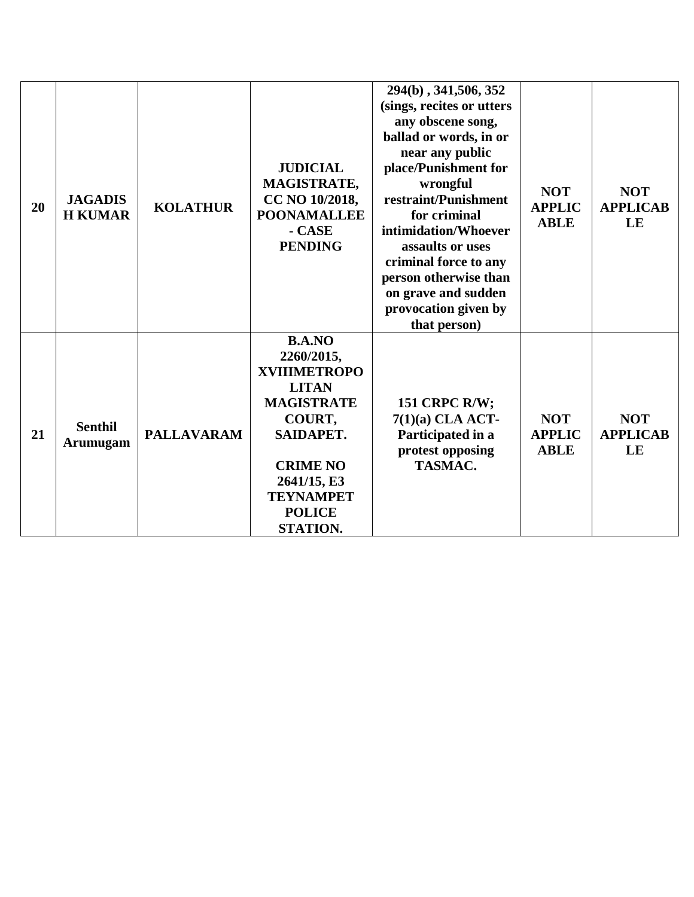| 20 | <b>JAGADIS</b><br><b>H KUMAR</b>  | <b>KOLATHUR</b>   | <b>JUDICIAL</b><br>MAGISTRATE,<br>CC NO 10/2018,<br><b>POONAMALLEE</b><br>- CASE<br><b>PENDING</b>                                                                                                | 294(b), 341,506, 352<br>(sings, recites or utters<br>any obscene song,<br>ballad or words, in or<br>near any public<br>place/Punishment for<br>wrongful<br>restraint/Punishment<br>for criminal<br>intimidation/Whoever<br>assaults or uses<br>criminal force to any<br>person otherwise than<br>on grave and sudden<br>provocation given by<br>that person) | <b>NOT</b><br><b>APPLIC</b><br><b>ABLE</b> | <b>NOT</b><br><b>APPLICAB</b><br>LE |
|----|-----------------------------------|-------------------|---------------------------------------------------------------------------------------------------------------------------------------------------------------------------------------------------|--------------------------------------------------------------------------------------------------------------------------------------------------------------------------------------------------------------------------------------------------------------------------------------------------------------------------------------------------------------|--------------------------------------------|-------------------------------------|
| 21 | <b>Senthil</b><br><b>Arumugam</b> | <b>PALLAVARAM</b> | <b>B.A.NO</b><br>2260/2015,<br><b>XVIIIMETROPO</b><br><b>LITAN</b><br><b>MAGISTRATE</b><br>COURT,<br>SAIDAPET.<br><b>CRIME NO</b><br>2641/15, E3<br><b>TEYNAMPET</b><br><b>POLICE</b><br>STATION. | <b>151 CRPC R/W;</b><br>$7(1)(a)$ CLA ACT-<br>Participated in a<br>protest opposing<br>TASMAC.                                                                                                                                                                                                                                                               | <b>NOT</b><br><b>APPLIC</b><br><b>ABLE</b> | <b>NOT</b><br><b>APPLICAB</b><br>LE |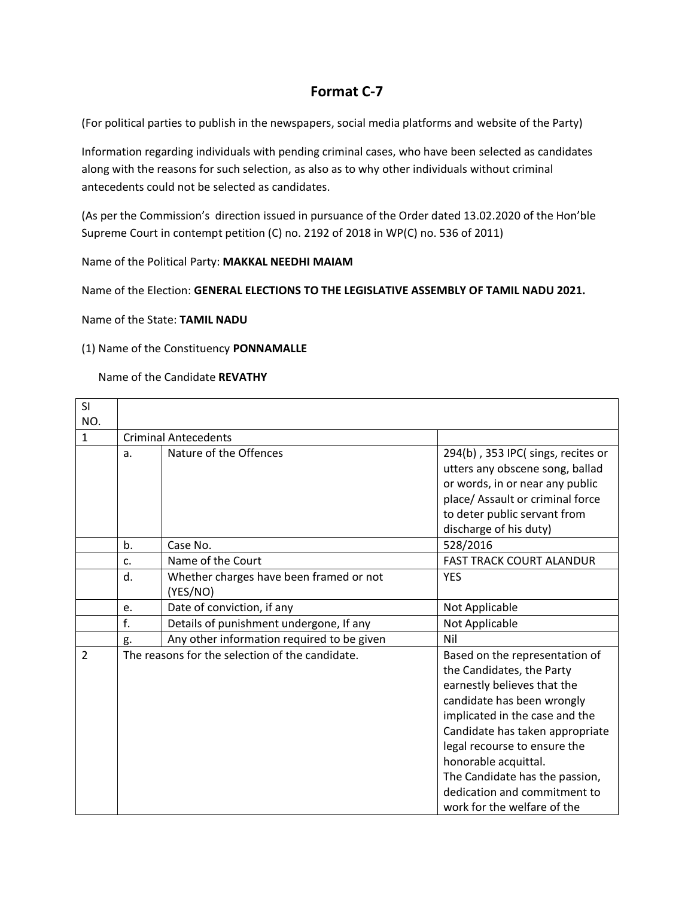# **Format C-7**

(For political parties to publish in the newspapers, social media platforms and website of the Party)

Information regarding individuals with pending criminal cases, who have been selected as candidates along with the reasons for such selection, as also as to why other individuals without criminal antecedents could not be selected as candidates.

(As per the Commission's direction issued in pursuance of the Order dated 13.02.2020 of the Hon'ble Supreme Court in contempt petition (C) no. 2192 of 2018 in WP(C) no. 536 of 2011)

Name of the Political Party: **MAKKAL NEEDHI MAIAM**

Name of the Election: **GENERAL ELECTIONS TO THE LEGISLATIVE ASSEMBLY OF TAMIL NADU 2021.**

Name of the State: **TAMIL NADU**

#### (1) Name of the Constituency **PONNAMALLE**

Name of the Candidate **REVATHY**

| <b>SI</b>      |    |                                                     |                                                                                                                                                                                                                                                                                                                                                        |
|----------------|----|-----------------------------------------------------|--------------------------------------------------------------------------------------------------------------------------------------------------------------------------------------------------------------------------------------------------------------------------------------------------------------------------------------------------------|
| NO.            |    |                                                     |                                                                                                                                                                                                                                                                                                                                                        |
| $\mathbf{1}$   |    | <b>Criminal Antecedents</b>                         |                                                                                                                                                                                                                                                                                                                                                        |
|                | a. | Nature of the Offences                              | 294(b), 353 IPC(sings, recites or<br>utters any obscene song, ballad<br>or words, in or near any public<br>place/ Assault or criminal force<br>to deter public servant from<br>discharge of his duty)                                                                                                                                                  |
|                | b. | Case No.                                            | 528/2016                                                                                                                                                                                                                                                                                                                                               |
|                | c. | Name of the Court                                   | <b>FAST TRACK COURT ALANDUR</b>                                                                                                                                                                                                                                                                                                                        |
|                | d. | Whether charges have been framed or not<br>(YES/NO) | <b>YES</b>                                                                                                                                                                                                                                                                                                                                             |
|                | e. | Date of conviction, if any                          | Not Applicable                                                                                                                                                                                                                                                                                                                                         |
|                | f. | Details of punishment undergone, If any             | Not Applicable                                                                                                                                                                                                                                                                                                                                         |
|                | g. | Any other information required to be given          | Nil                                                                                                                                                                                                                                                                                                                                                    |
| $\overline{2}$ |    | The reasons for the selection of the candidate.     | Based on the representation of<br>the Candidates, the Party<br>earnestly believes that the<br>candidate has been wrongly<br>implicated in the case and the<br>Candidate has taken appropriate<br>legal recourse to ensure the<br>honorable acquittal.<br>The Candidate has the passion,<br>dedication and commitment to<br>work for the welfare of the |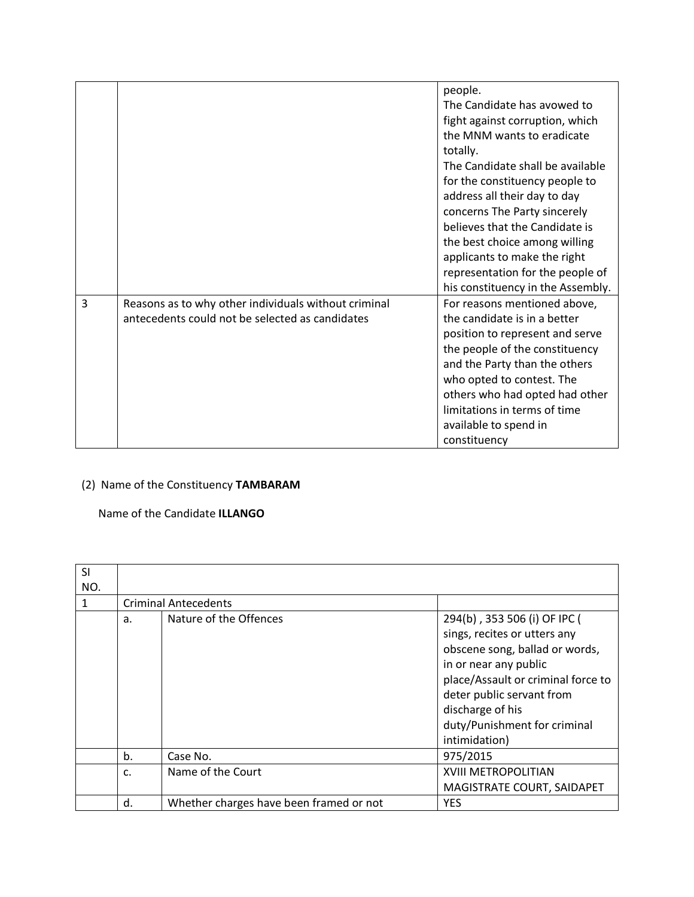|   |                                                                                                         | people.<br>The Candidate has avowed to<br>fight against corruption, which<br>the MNM wants to eradicate<br>totally.<br>The Candidate shall be available<br>for the constituency people to<br>address all their day to day<br>concerns The Party sincerely<br>believes that the Candidate is                |
|---|---------------------------------------------------------------------------------------------------------|------------------------------------------------------------------------------------------------------------------------------------------------------------------------------------------------------------------------------------------------------------------------------------------------------------|
|   |                                                                                                         | the best choice among willing<br>applicants to make the right                                                                                                                                                                                                                                              |
|   |                                                                                                         | representation for the people of<br>his constituency in the Assembly.                                                                                                                                                                                                                                      |
| 3 | Reasons as to why other individuals without criminal<br>antecedents could not be selected as candidates | For reasons mentioned above,<br>the candidate is in a better<br>position to represent and serve<br>the people of the constituency<br>and the Party than the others<br>who opted to contest. The<br>others who had opted had other<br>limitations in terms of time<br>available to spend in<br>constituency |

### (2) Name of the Constituency **TAMBARAM**

### Name of the Candidate **ILLANGO**

| <b>SI</b> |    |                                         |                                    |
|-----------|----|-----------------------------------------|------------------------------------|
| NO.       |    |                                         |                                    |
| 1         |    | <b>Criminal Antecedents</b>             |                                    |
|           | a. | Nature of the Offences                  | 294(b), 353 506 (i) OF IPC (       |
|           |    |                                         | sings, recites or utters any       |
|           |    |                                         | obscene song, ballad or words,     |
|           |    |                                         | in or near any public              |
|           |    |                                         | place/Assault or criminal force to |
|           |    |                                         | deter public servant from          |
|           |    |                                         | discharge of his                   |
|           |    |                                         | duty/Punishment for criminal       |
|           |    |                                         | intimidation)                      |
|           | b. | Case No.                                | 975/2015                           |
|           | C. | Name of the Court                       | XVIII METROPOLITIAN                |
|           |    |                                         | MAGISTRATE COURT, SAIDAPET         |
|           | d. | Whether charges have been framed or not | <b>YES</b>                         |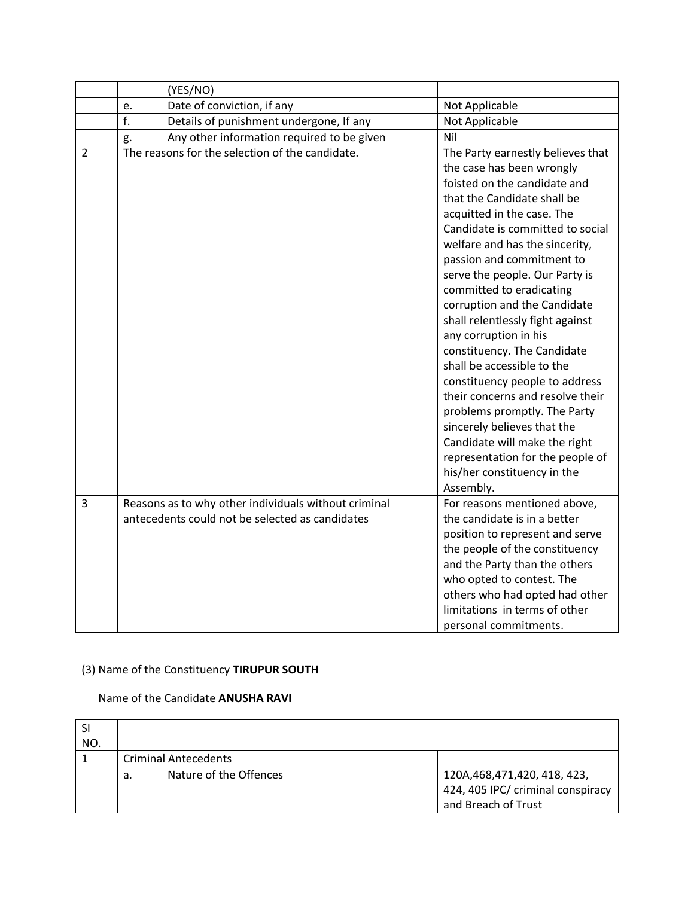|                |    | (YES/NO)                                             |                                                                                                                                                                                                                                                                                                                                                                                                                                                                                                                                                                                                                                                                                                                                              |
|----------------|----|------------------------------------------------------|----------------------------------------------------------------------------------------------------------------------------------------------------------------------------------------------------------------------------------------------------------------------------------------------------------------------------------------------------------------------------------------------------------------------------------------------------------------------------------------------------------------------------------------------------------------------------------------------------------------------------------------------------------------------------------------------------------------------------------------------|
|                | e. | Date of conviction, if any                           | Not Applicable                                                                                                                                                                                                                                                                                                                                                                                                                                                                                                                                                                                                                                                                                                                               |
|                | f. | Details of punishment undergone, If any              | Not Applicable                                                                                                                                                                                                                                                                                                                                                                                                                                                                                                                                                                                                                                                                                                                               |
|                | g. | Any other information required to be given           | Nil                                                                                                                                                                                                                                                                                                                                                                                                                                                                                                                                                                                                                                                                                                                                          |
| $\overline{2}$ |    | The reasons for the selection of the candidate.      | The Party earnestly believes that<br>the case has been wrongly<br>foisted on the candidate and<br>that the Candidate shall be<br>acquitted in the case. The<br>Candidate is committed to social<br>welfare and has the sincerity,<br>passion and commitment to<br>serve the people. Our Party is<br>committed to eradicating<br>corruption and the Candidate<br>shall relentlessly fight against<br>any corruption in his<br>constituency. The Candidate<br>shall be accessible to the<br>constituency people to address<br>their concerns and resolve their<br>problems promptly. The Party<br>sincerely believes that the<br>Candidate will make the right<br>representation for the people of<br>his/her constituency in the<br>Assembly. |
| 3              |    | Reasons as to why other individuals without criminal | For reasons mentioned above,                                                                                                                                                                                                                                                                                                                                                                                                                                                                                                                                                                                                                                                                                                                 |
|                |    | antecedents could not be selected as candidates      | the candidate is in a better<br>position to represent and serve<br>the people of the constituency<br>and the Party than the others<br>who opted to contest. The<br>others who had opted had other<br>limitations in terms of other<br>personal commitments.                                                                                                                                                                                                                                                                                                                                                                                                                                                                                  |

# (3) Name of the Constituency **TIRUPUR SOUTH**

### Name of the Candidate **ANUSHA RAVI**

| NO. |                             |                        |                                                                                            |  |  |
|-----|-----------------------------|------------------------|--------------------------------------------------------------------------------------------|--|--|
|     | <b>Criminal Antecedents</b> |                        |                                                                                            |  |  |
|     | а.                          | Nature of the Offences | 120A, 468, 471, 420, 418, 423,<br>424, 405 IPC/ criminal conspiracy<br>and Breach of Trust |  |  |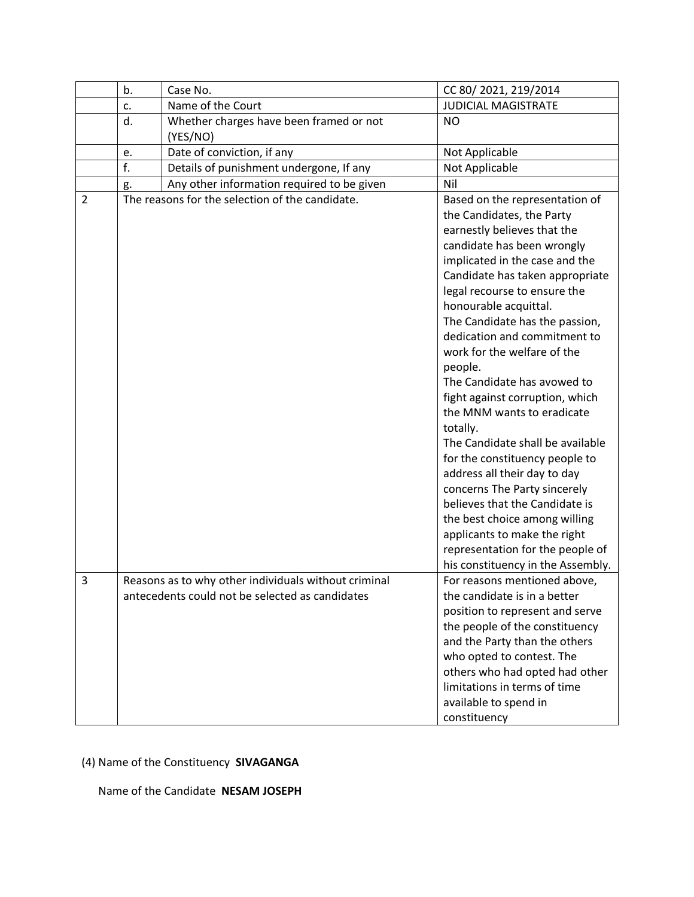|                | b. | Case No.                                                                                                | CC 80/2021, 219/2014                                                                                                                                                                                                                                                                                                                                                                                                                                                                                                                                                                                                 |
|----------------|----|---------------------------------------------------------------------------------------------------------|----------------------------------------------------------------------------------------------------------------------------------------------------------------------------------------------------------------------------------------------------------------------------------------------------------------------------------------------------------------------------------------------------------------------------------------------------------------------------------------------------------------------------------------------------------------------------------------------------------------------|
|                | c. | Name of the Court                                                                                       | <b>JUDICIAL MAGISTRATE</b>                                                                                                                                                                                                                                                                                                                                                                                                                                                                                                                                                                                           |
|                | d. | Whether charges have been framed or not<br>(YES/NO)                                                     | <b>NO</b>                                                                                                                                                                                                                                                                                                                                                                                                                                                                                                                                                                                                            |
|                | e. | Date of conviction, if any                                                                              | Not Applicable                                                                                                                                                                                                                                                                                                                                                                                                                                                                                                                                                                                                       |
|                | f. | Details of punishment undergone, If any                                                                 | Not Applicable                                                                                                                                                                                                                                                                                                                                                                                                                                                                                                                                                                                                       |
|                | g. | Any other information required to be given                                                              | Nil                                                                                                                                                                                                                                                                                                                                                                                                                                                                                                                                                                                                                  |
| $\overline{2}$ |    | The reasons for the selection of the candidate.                                                         | Based on the representation of<br>the Candidates, the Party<br>earnestly believes that the<br>candidate has been wrongly<br>implicated in the case and the<br>Candidate has taken appropriate<br>legal recourse to ensure the<br>honourable acquittal.<br>The Candidate has the passion,<br>dedication and commitment to<br>work for the welfare of the<br>people.<br>The Candidate has avowed to<br>fight against corruption, which<br>the MNM wants to eradicate<br>totally.<br>The Candidate shall be available<br>for the constituency people to<br>address all their day to day<br>concerns The Party sincerely |
| 3              |    |                                                                                                         | believes that the Candidate is<br>the best choice among willing<br>applicants to make the right<br>representation for the people of<br>his constituency in the Assembly.                                                                                                                                                                                                                                                                                                                                                                                                                                             |
|                |    | Reasons as to why other individuals without criminal<br>antecedents could not be selected as candidates | For reasons mentioned above,<br>the candidate is in a better<br>position to represent and serve<br>the people of the constituency<br>and the Party than the others<br>who opted to contest. The<br>others who had opted had other<br>limitations in terms of time<br>available to spend in<br>constituency                                                                                                                                                                                                                                                                                                           |

# (4) Name of the Constituency **SIVAGANGA**

Name of the Candidate **NESAM JOSEPH**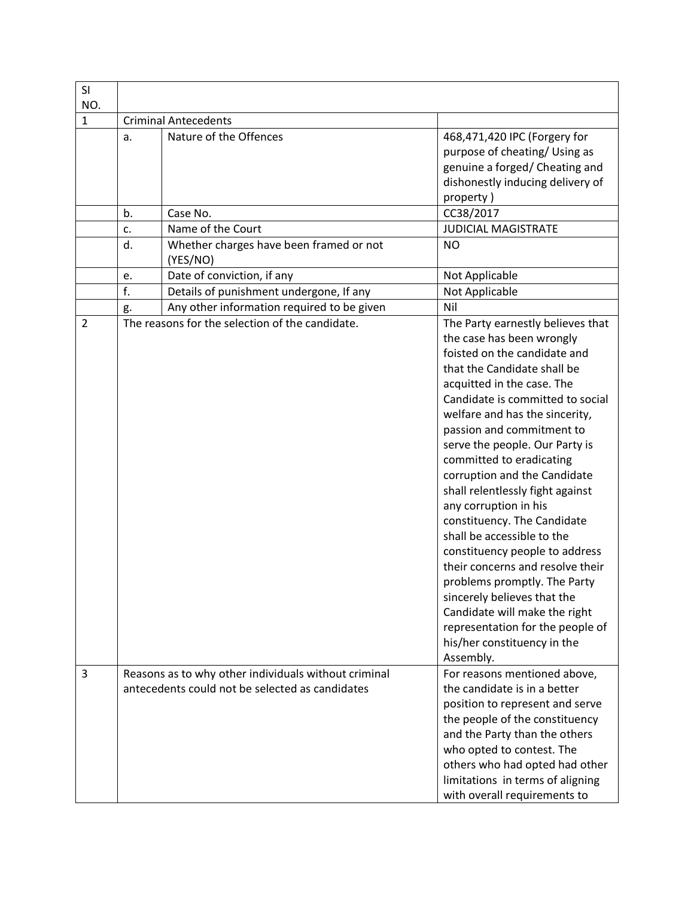| SI<br>NO.      |    |                                                                                                         |                                                                                                                                                                                                                                                                                                                                                                                                                                                                                                                                                                                                                                                                                                                                              |
|----------------|----|---------------------------------------------------------------------------------------------------------|----------------------------------------------------------------------------------------------------------------------------------------------------------------------------------------------------------------------------------------------------------------------------------------------------------------------------------------------------------------------------------------------------------------------------------------------------------------------------------------------------------------------------------------------------------------------------------------------------------------------------------------------------------------------------------------------------------------------------------------------|
| 1              |    | <b>Criminal Antecedents</b>                                                                             |                                                                                                                                                                                                                                                                                                                                                                                                                                                                                                                                                                                                                                                                                                                                              |
|                | a. | Nature of the Offences                                                                                  | 468,471,420 IPC (Forgery for<br>purpose of cheating/ Using as<br>genuine a forged/ Cheating and<br>dishonestly inducing delivery of<br>property)                                                                                                                                                                                                                                                                                                                                                                                                                                                                                                                                                                                             |
|                | b. | Case No.                                                                                                | CC38/2017                                                                                                                                                                                                                                                                                                                                                                                                                                                                                                                                                                                                                                                                                                                                    |
|                | c. | Name of the Court                                                                                       | <b>JUDICIAL MAGISTRATE</b>                                                                                                                                                                                                                                                                                                                                                                                                                                                                                                                                                                                                                                                                                                                   |
|                | d. | Whether charges have been framed or not<br>(YES/NO)                                                     | <b>NO</b>                                                                                                                                                                                                                                                                                                                                                                                                                                                                                                                                                                                                                                                                                                                                    |
|                | e. | Date of conviction, if any                                                                              | Not Applicable                                                                                                                                                                                                                                                                                                                                                                                                                                                                                                                                                                                                                                                                                                                               |
|                | f. | Details of punishment undergone, If any                                                                 | Not Applicable                                                                                                                                                                                                                                                                                                                                                                                                                                                                                                                                                                                                                                                                                                                               |
|                | g. | Any other information required to be given                                                              | Nil                                                                                                                                                                                                                                                                                                                                                                                                                                                                                                                                                                                                                                                                                                                                          |
| $\overline{2}$ |    | The reasons for the selection of the candidate.                                                         | The Party earnestly believes that<br>the case has been wrongly<br>foisted on the candidate and<br>that the Candidate shall be<br>acquitted in the case. The<br>Candidate is committed to social<br>welfare and has the sincerity,<br>passion and commitment to<br>serve the people. Our Party is<br>committed to eradicating<br>corruption and the Candidate<br>shall relentlessly fight against<br>any corruption in his<br>constituency. The Candidate<br>shall be accessible to the<br>constituency people to address<br>their concerns and resolve their<br>problems promptly. The Party<br>sincerely believes that the<br>Candidate will make the right<br>representation for the people of<br>his/her constituency in the<br>Assembly. |
| 3              |    | Reasons as to why other individuals without criminal<br>antecedents could not be selected as candidates | For reasons mentioned above,<br>the candidate is in a better<br>position to represent and serve<br>the people of the constituency<br>and the Party than the others<br>who opted to contest. The<br>others who had opted had other<br>limitations in terms of aligning<br>with overall requirements to                                                                                                                                                                                                                                                                                                                                                                                                                                        |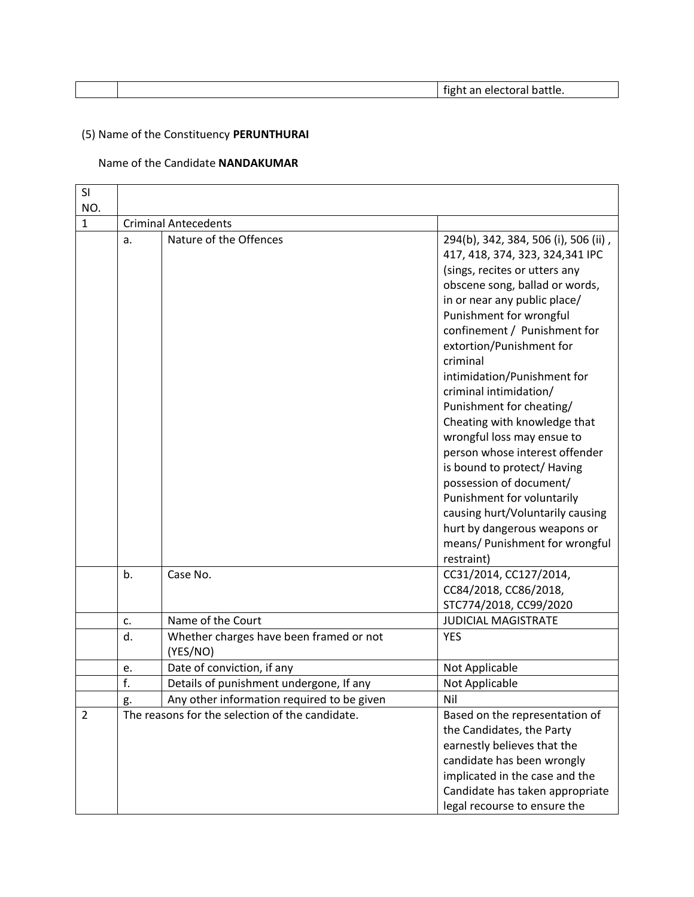|  | <br><br>--<br>uut.<br> |
|--|------------------------|
|  |                        |

# (5) Name of the Constituency **PERUNTHURAI**

### Name of the Candidate **NANDAKUMAR**

| SI             |    |                                                     |                                                                                                                                                                                                                                                                                                                                                                                                                                                                                                                                                                                                                                                                                 |
|----------------|----|-----------------------------------------------------|---------------------------------------------------------------------------------------------------------------------------------------------------------------------------------------------------------------------------------------------------------------------------------------------------------------------------------------------------------------------------------------------------------------------------------------------------------------------------------------------------------------------------------------------------------------------------------------------------------------------------------------------------------------------------------|
| NO.            |    |                                                     |                                                                                                                                                                                                                                                                                                                                                                                                                                                                                                                                                                                                                                                                                 |
| $\mathbf{1}$   |    | <b>Criminal Antecedents</b>                         |                                                                                                                                                                                                                                                                                                                                                                                                                                                                                                                                                                                                                                                                                 |
|                | a. | Nature of the Offences                              | 294(b), 342, 384, 506 (i), 506 (ii),<br>417, 418, 374, 323, 324, 341 IPC<br>(sings, recites or utters any<br>obscene song, ballad or words,<br>in or near any public place/<br>Punishment for wrongful<br>confinement / Punishment for<br>extortion/Punishment for<br>criminal<br>intimidation/Punishment for<br>criminal intimidation/<br>Punishment for cheating/<br>Cheating with knowledge that<br>wrongful loss may ensue to<br>person whose interest offender<br>is bound to protect/ Having<br>possession of document/<br>Punishment for voluntarily<br>causing hurt/Voluntarily causing<br>hurt by dangerous weapons or<br>means/ Punishment for wrongful<br>restraint) |
|                | b. | Case No.                                            | CC31/2014, CC127/2014,<br>CC84/2018, CC86/2018,<br>STC774/2018, CC99/2020                                                                                                                                                                                                                                                                                                                                                                                                                                                                                                                                                                                                       |
|                | c. | Name of the Court                                   | <b>JUDICIAL MAGISTRATE</b>                                                                                                                                                                                                                                                                                                                                                                                                                                                                                                                                                                                                                                                      |
|                | d. | Whether charges have been framed or not<br>(YES/NO) | <b>YES</b>                                                                                                                                                                                                                                                                                                                                                                                                                                                                                                                                                                                                                                                                      |
|                | e. | Date of conviction, if any                          | Not Applicable                                                                                                                                                                                                                                                                                                                                                                                                                                                                                                                                                                                                                                                                  |
|                | f. | Details of punishment undergone, If any             | Not Applicable                                                                                                                                                                                                                                                                                                                                                                                                                                                                                                                                                                                                                                                                  |
|                | g. | Any other information required to be given          | Nil                                                                                                                                                                                                                                                                                                                                                                                                                                                                                                                                                                                                                                                                             |
| $\overline{2}$ |    | The reasons for the selection of the candidate.     | Based on the representation of<br>the Candidates, the Party<br>earnestly believes that the<br>candidate has been wrongly<br>implicated in the case and the<br>Candidate has taken appropriate<br>legal recourse to ensure the                                                                                                                                                                                                                                                                                                                                                                                                                                                   |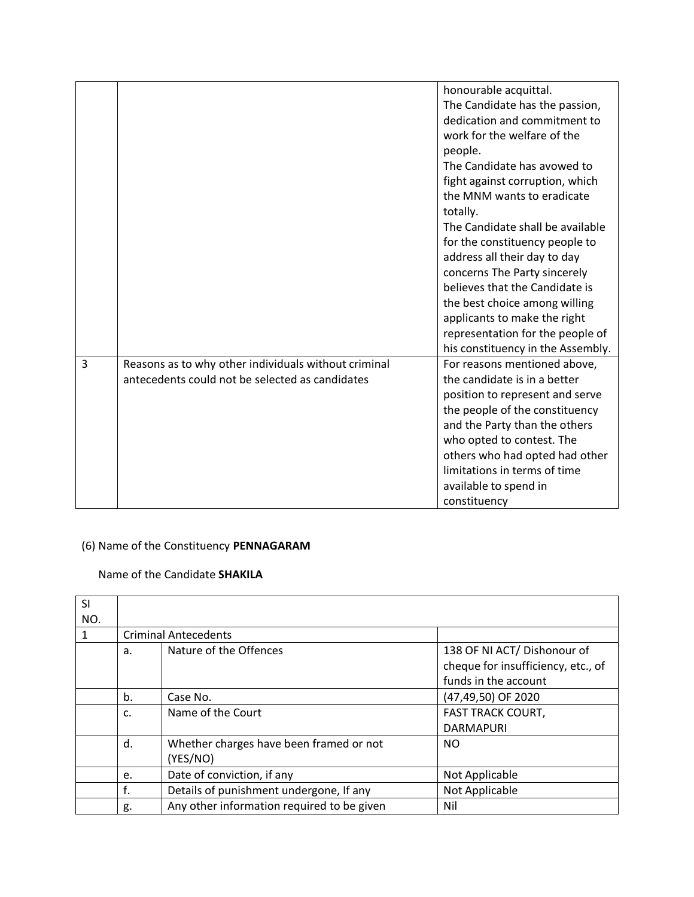|   |                                                                                                         | honourable acquittal.<br>The Candidate has the passion,<br>dedication and commitment to<br>work for the welfare of the<br>people.<br>The Candidate has avowed to<br>fight against corruption, which<br>the MNM wants to eradicate<br>totally.<br>The Candidate shall be available                          |
|---|---------------------------------------------------------------------------------------------------------|------------------------------------------------------------------------------------------------------------------------------------------------------------------------------------------------------------------------------------------------------------------------------------------------------------|
|   |                                                                                                         | for the constituency people to<br>address all their day to day<br>concerns The Party sincerely<br>believes that the Candidate is<br>the best choice among willing<br>applicants to make the right<br>representation for the people of<br>his constituency in the Assembly.                                 |
| 3 | Reasons as to why other individuals without criminal<br>antecedents could not be selected as candidates | For reasons mentioned above,<br>the candidate is in a better<br>position to represent and serve<br>the people of the constituency<br>and the Party than the others<br>who opted to contest. The<br>others who had opted had other<br>limitations in terms of time<br>available to spend in<br>constituency |

# (6) Name of the Constituency **PENNAGARAM**

### Name of the Candidate **SHAKILA**

| <b>SI</b> |    |                                            |                                    |
|-----------|----|--------------------------------------------|------------------------------------|
| NO.       |    |                                            |                                    |
|           |    | <b>Criminal Antecedents</b>                |                                    |
|           | a. | Nature of the Offences                     | 138 OF NI ACT/Dishonour of         |
|           |    |                                            | cheque for insufficiency, etc., of |
|           |    |                                            | funds in the account               |
|           | b. | Case No.                                   | (47,49,50) OF 2020                 |
|           | C. | Name of the Court                          | <b>FAST TRACK COURT,</b>           |
|           |    |                                            | <b>DARMAPURI</b>                   |
|           | d. | Whether charges have been framed or not    | NO.                                |
|           |    | (YES/NO)                                   |                                    |
|           | e. | Date of conviction, if any                 | Not Applicable                     |
|           | f. | Details of punishment undergone, If any    | Not Applicable                     |
|           | g. | Any other information required to be given | Nil                                |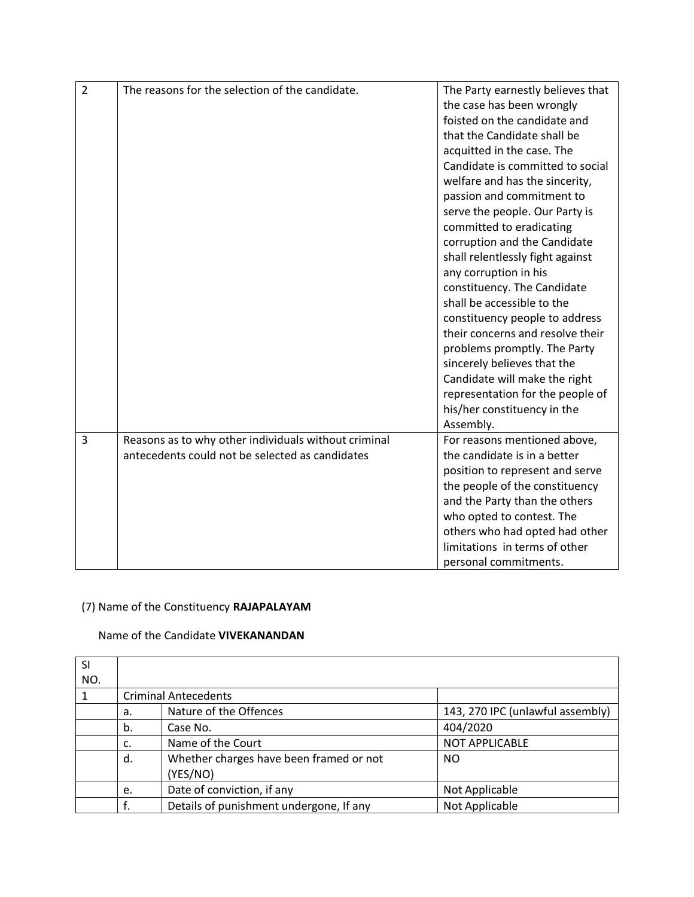| $\overline{2}$ | The reasons for the selection of the candidate.      | The Party earnestly believes that |
|----------------|------------------------------------------------------|-----------------------------------|
|                |                                                      | the case has been wrongly         |
|                |                                                      | foisted on the candidate and      |
|                |                                                      | that the Candidate shall be       |
|                |                                                      | acquitted in the case. The        |
|                |                                                      | Candidate is committed to social  |
|                |                                                      | welfare and has the sincerity,    |
|                |                                                      | passion and commitment to         |
|                |                                                      | serve the people. Our Party is    |
|                |                                                      | committed to eradicating          |
|                |                                                      | corruption and the Candidate      |
|                |                                                      | shall relentlessly fight against  |
|                |                                                      | any corruption in his             |
|                |                                                      | constituency. The Candidate       |
|                |                                                      | shall be accessible to the        |
|                |                                                      | constituency people to address    |
|                |                                                      | their concerns and resolve their  |
|                |                                                      | problems promptly. The Party      |
|                |                                                      | sincerely believes that the       |
|                |                                                      | Candidate will make the right     |
|                |                                                      | representation for the people of  |
|                |                                                      | his/her constituency in the       |
|                |                                                      | Assembly.                         |
| 3              | Reasons as to why other individuals without criminal | For reasons mentioned above,      |
|                | antecedents could not be selected as candidates      | the candidate is in a better      |
|                |                                                      | position to represent and serve   |
|                |                                                      | the people of the constituency    |
|                |                                                      | and the Party than the others     |
|                |                                                      | who opted to contest. The         |
|                |                                                      | others who had opted had other    |
|                |                                                      | limitations in terms of other     |
|                |                                                      | personal commitments.             |

# (7) Name of the Constituency **RAJAPALAYAM**

#### Name of the Candidate **VIVEKANANDAN**

| SI  |    |                                         |                                  |
|-----|----|-----------------------------------------|----------------------------------|
| NO. |    |                                         |                                  |
|     |    | <b>Criminal Antecedents</b>             |                                  |
|     | а. | Nature of the Offences                  | 143, 270 IPC (unlawful assembly) |
|     | b. | Case No.                                | 404/2020                         |
|     | c. | Name of the Court                       | <b>NOT APPLICABLE</b>            |
|     | d. | Whether charges have been framed or not | NO.                              |
|     |    | (YES/NO)                                |                                  |
|     | e. | Date of conviction, if any              | Not Applicable                   |
|     |    | Details of punishment undergone, If any | Not Applicable                   |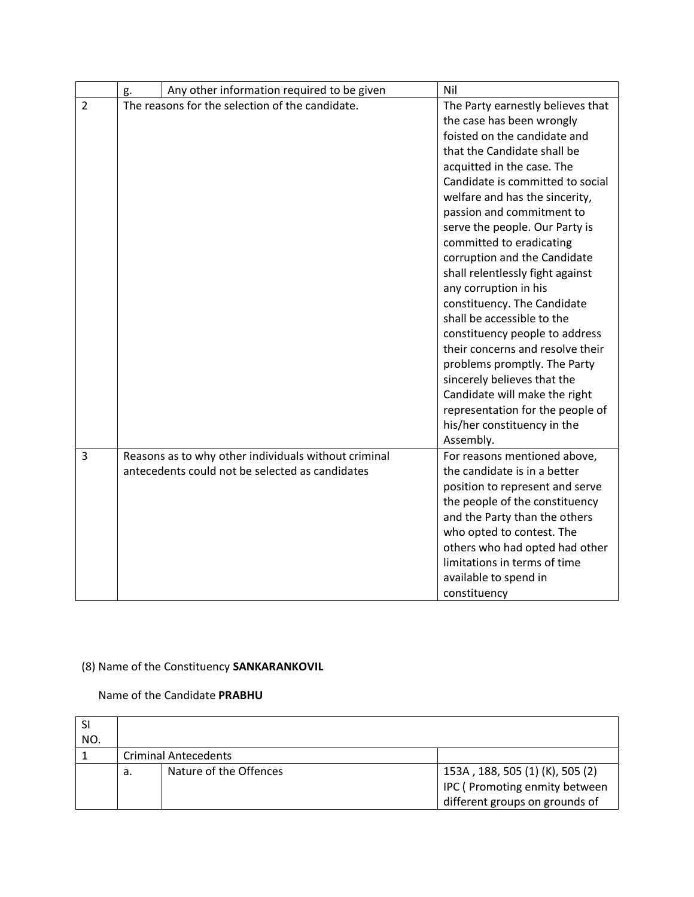|                | Any other information required to be given<br>g.     | Nil                               |
|----------------|------------------------------------------------------|-----------------------------------|
| $\overline{2}$ | The reasons for the selection of the candidate.      | The Party earnestly believes that |
|                |                                                      | the case has been wrongly         |
|                |                                                      | foisted on the candidate and      |
|                |                                                      | that the Candidate shall be       |
|                |                                                      | acquitted in the case. The        |
|                |                                                      | Candidate is committed to social  |
|                |                                                      | welfare and has the sincerity,    |
|                |                                                      | passion and commitment to         |
|                |                                                      | serve the people. Our Party is    |
|                |                                                      | committed to eradicating          |
|                |                                                      | corruption and the Candidate      |
|                |                                                      | shall relentlessly fight against  |
|                |                                                      | any corruption in his             |
|                |                                                      | constituency. The Candidate       |
|                |                                                      | shall be accessible to the        |
|                |                                                      | constituency people to address    |
|                |                                                      | their concerns and resolve their  |
|                |                                                      | problems promptly. The Party      |
|                |                                                      | sincerely believes that the       |
|                |                                                      | Candidate will make the right     |
|                |                                                      | representation for the people of  |
|                |                                                      | his/her constituency in the       |
|                |                                                      | Assembly.                         |
| $\overline{3}$ | Reasons as to why other individuals without criminal | For reasons mentioned above,      |
|                | antecedents could not be selected as candidates      | the candidate is in a better      |
|                |                                                      | position to represent and serve   |
|                |                                                      | the people of the constituency    |
|                |                                                      | and the Party than the others     |
|                |                                                      | who opted to contest. The         |
|                |                                                      | others who had opted had other    |
|                |                                                      | limitations in terms of time      |
|                |                                                      | available to spend in             |
|                |                                                      | constituency                      |

### (8) Name of the Constituency **SANKARANKOVIL**

### Name of the Candidate **PRABHU**

| NO. |    |                             |                                                                                                    |
|-----|----|-----------------------------|----------------------------------------------------------------------------------------------------|
|     |    | <b>Criminal Antecedents</b> |                                                                                                    |
|     | а. | Nature of the Offences      | 153A, 188, 505 (1) (K), 505 (2)<br>IPC (Promoting enmity between<br>different groups on grounds of |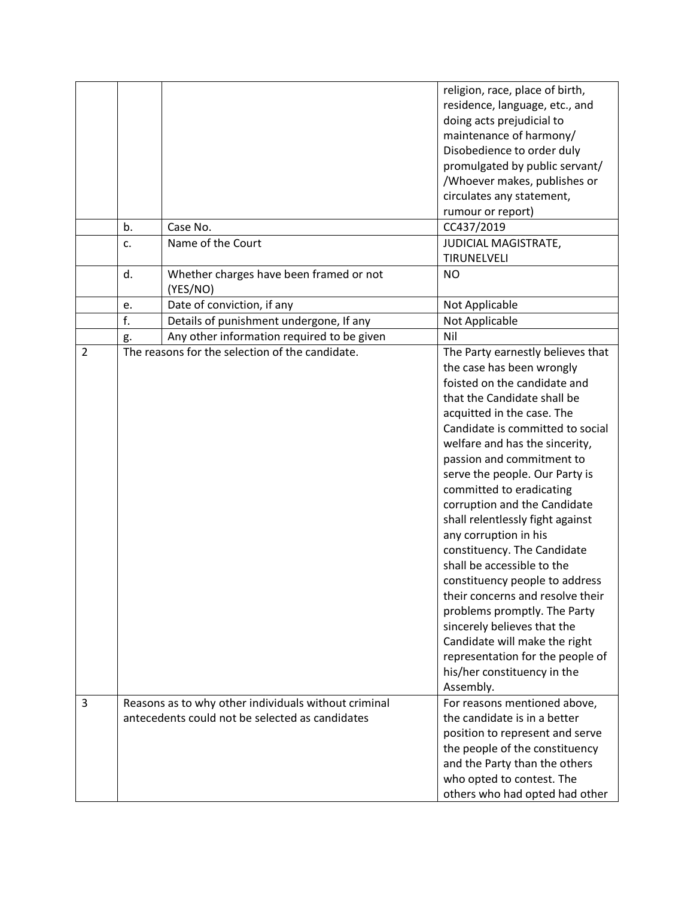|                |    |                                                                                                         | religion, race, place of birth,<br>residence, language, etc., and<br>doing acts prejudicial to<br>maintenance of harmony/<br>Disobedience to order duly<br>promulgated by public servant/                                                                                                                                                                                                                                                                                                                                                                                                                                                                                                                                                    |
|----------------|----|---------------------------------------------------------------------------------------------------------|----------------------------------------------------------------------------------------------------------------------------------------------------------------------------------------------------------------------------------------------------------------------------------------------------------------------------------------------------------------------------------------------------------------------------------------------------------------------------------------------------------------------------------------------------------------------------------------------------------------------------------------------------------------------------------------------------------------------------------------------|
|                |    |                                                                                                         | /Whoever makes, publishes or<br>circulates any statement,                                                                                                                                                                                                                                                                                                                                                                                                                                                                                                                                                                                                                                                                                    |
|                |    |                                                                                                         | rumour or report)                                                                                                                                                                                                                                                                                                                                                                                                                                                                                                                                                                                                                                                                                                                            |
|                | b. | Case No.                                                                                                | CC437/2019                                                                                                                                                                                                                                                                                                                                                                                                                                                                                                                                                                                                                                                                                                                                   |
|                | c. | Name of the Court                                                                                       | JUDICIAL MAGISTRATE,<br>TIRUNELVELI                                                                                                                                                                                                                                                                                                                                                                                                                                                                                                                                                                                                                                                                                                          |
|                | d. | Whether charges have been framed or not<br>(YES/NO)                                                     | <b>NO</b>                                                                                                                                                                                                                                                                                                                                                                                                                                                                                                                                                                                                                                                                                                                                    |
|                | e. | Date of conviction, if any                                                                              | Not Applicable                                                                                                                                                                                                                                                                                                                                                                                                                                                                                                                                                                                                                                                                                                                               |
|                | f. | Details of punishment undergone, If any                                                                 | Not Applicable                                                                                                                                                                                                                                                                                                                                                                                                                                                                                                                                                                                                                                                                                                                               |
|                | g. | Any other information required to be given                                                              | Nil                                                                                                                                                                                                                                                                                                                                                                                                                                                                                                                                                                                                                                                                                                                                          |
| $\overline{2}$ |    | The reasons for the selection of the candidate.                                                         | The Party earnestly believes that<br>the case has been wrongly<br>foisted on the candidate and<br>that the Candidate shall be<br>acquitted in the case. The<br>Candidate is committed to social<br>welfare and has the sincerity,<br>passion and commitment to<br>serve the people. Our Party is<br>committed to eradicating<br>corruption and the Candidate<br>shall relentlessly fight against<br>any corruption in his<br>constituency. The Candidate<br>shall be accessible to the<br>constituency people to address<br>their concerns and resolve their<br>problems promptly. The Party<br>sincerely believes that the<br>Candidate will make the right<br>representation for the people of<br>his/her constituency in the<br>Assembly. |
| 3              |    | Reasons as to why other individuals without criminal<br>antecedents could not be selected as candidates | For reasons mentioned above,<br>the candidate is in a better<br>position to represent and serve<br>the people of the constituency<br>and the Party than the others<br>who opted to contest. The<br>others who had opted had other                                                                                                                                                                                                                                                                                                                                                                                                                                                                                                            |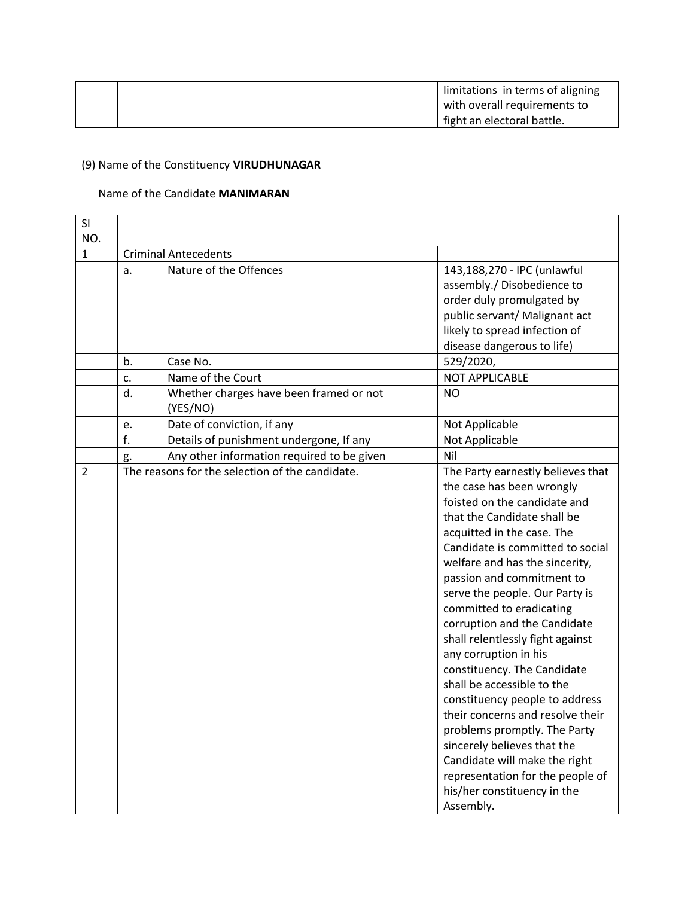|  | limitations in terms of aligning |
|--|----------------------------------|
|  | with overall requirements to     |
|  | fight an electoral battle.       |

# (9) Name of the Constituency **VIRUDHUNAGAR**

#### Name of the Candidate **MANIMARAN**

| SI             |    |                                                 |                                   |  |  |
|----------------|----|-------------------------------------------------|-----------------------------------|--|--|
| NO.            |    |                                                 |                                   |  |  |
| $\mathbf{1}$   |    | <b>Criminal Antecedents</b>                     |                                   |  |  |
|                | a. | Nature of the Offences                          | 143,188,270 - IPC (unlawful       |  |  |
|                |    |                                                 | assembly./ Disobedience to        |  |  |
|                |    |                                                 | order duly promulgated by         |  |  |
|                |    |                                                 | public servant/ Malignant act     |  |  |
|                |    |                                                 | likely to spread infection of     |  |  |
|                |    |                                                 | disease dangerous to life)        |  |  |
|                | b. | Case No.                                        | 529/2020,                         |  |  |
|                | c. | Name of the Court                               | <b>NOT APPLICABLE</b>             |  |  |
|                | d. | Whether charges have been framed or not         | <b>NO</b>                         |  |  |
|                |    | (YES/NO)                                        |                                   |  |  |
|                | e. | Date of conviction, if any                      | Not Applicable                    |  |  |
|                | f. | Details of punishment undergone, If any         | Not Applicable                    |  |  |
|                | g. | Any other information required to be given      | Nil                               |  |  |
| $\overline{2}$ |    | The reasons for the selection of the candidate. | The Party earnestly believes that |  |  |
|                |    |                                                 | the case has been wrongly         |  |  |
|                |    |                                                 | foisted on the candidate and      |  |  |
|                |    |                                                 | that the Candidate shall be       |  |  |
|                |    |                                                 | acquitted in the case. The        |  |  |
|                |    |                                                 | Candidate is committed to social  |  |  |
|                |    |                                                 | welfare and has the sincerity,    |  |  |
|                |    |                                                 | passion and commitment to         |  |  |
|                |    |                                                 | serve the people. Our Party is    |  |  |
|                |    |                                                 | committed to eradicating          |  |  |
|                |    |                                                 | corruption and the Candidate      |  |  |
|                |    |                                                 | shall relentlessly fight against  |  |  |
|                |    |                                                 | any corruption in his             |  |  |
|                |    |                                                 | constituency. The Candidate       |  |  |
|                |    |                                                 | shall be accessible to the        |  |  |
|                |    |                                                 | constituency people to address    |  |  |
|                |    |                                                 | their concerns and resolve their  |  |  |
|                |    |                                                 | problems promptly. The Party      |  |  |
|                |    |                                                 | sincerely believes that the       |  |  |
|                |    |                                                 | Candidate will make the right     |  |  |
|                |    |                                                 | representation for the people of  |  |  |
|                |    |                                                 | his/her constituency in the       |  |  |
|                |    |                                                 | Assembly.                         |  |  |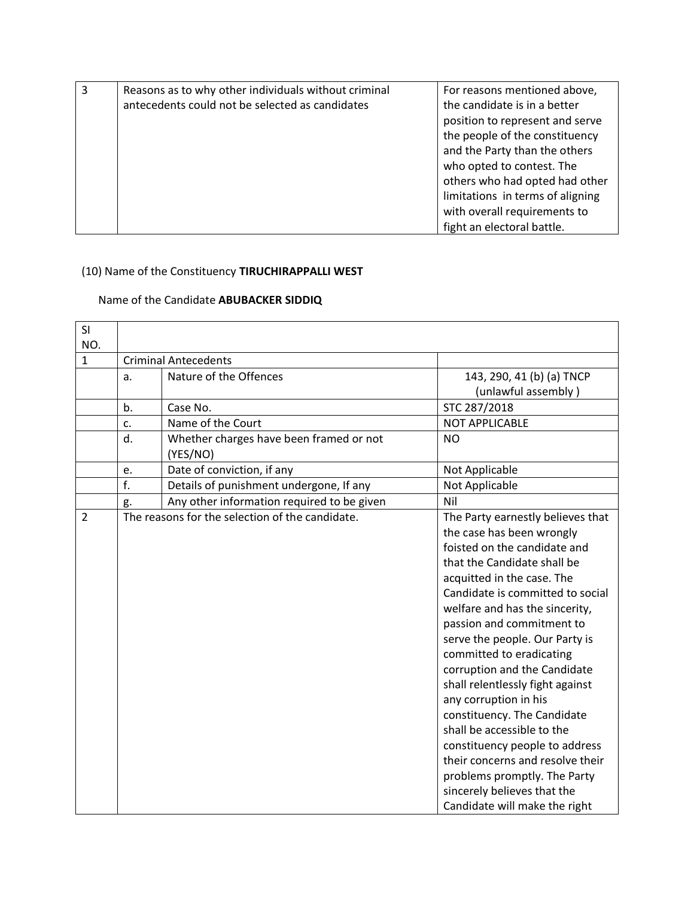| 3 | Reasons as to why other individuals without criminal | For reasons mentioned above,     |
|---|------------------------------------------------------|----------------------------------|
|   | antecedents could not be selected as candidates      | the candidate is in a better     |
|   |                                                      | position to represent and serve  |
|   |                                                      | the people of the constituency   |
|   |                                                      | and the Party than the others    |
|   |                                                      | who opted to contest. The        |
|   |                                                      | others who had opted had other   |
|   |                                                      | limitations in terms of aligning |
|   |                                                      | with overall requirements to     |
|   |                                                      | fight an electoral battle.       |

# (10) Name of the Constituency **TIRUCHIRAPPALLI WEST**

### Name of the Candidate **ABUBACKER SIDDIQ**

| SI             |    |                                                 |                                   |
|----------------|----|-------------------------------------------------|-----------------------------------|
| NO.            |    |                                                 |                                   |
| $\mathbf{1}$   |    | <b>Criminal Antecedents</b>                     |                                   |
|                | a. | Nature of the Offences                          | 143, 290, 41 (b) (a) TNCP         |
|                |    |                                                 | (unlawful assembly)               |
|                | b. | Case No.                                        | STC 287/2018                      |
|                | c. | Name of the Court                               | <b>NOT APPLICABLE</b>             |
|                | d. | Whether charges have been framed or not         | <b>NO</b>                         |
|                |    | (YES/NO)                                        |                                   |
|                | e. | Date of conviction, if any                      | Not Applicable                    |
|                | f. | Details of punishment undergone, If any         | Not Applicable                    |
|                | g. | Any other information required to be given      | Nil                               |
| $\overline{2}$ |    | The reasons for the selection of the candidate. | The Party earnestly believes that |
|                |    |                                                 | the case has been wrongly         |
|                |    |                                                 | foisted on the candidate and      |
|                |    |                                                 | that the Candidate shall be       |
|                |    |                                                 | acquitted in the case. The        |
|                |    |                                                 | Candidate is committed to social  |
|                |    |                                                 | welfare and has the sincerity,    |
|                |    |                                                 | passion and commitment to         |
|                |    |                                                 | serve the people. Our Party is    |
|                |    |                                                 | committed to eradicating          |
|                |    |                                                 | corruption and the Candidate      |
|                |    |                                                 | shall relentlessly fight against  |
|                |    |                                                 | any corruption in his             |
|                |    |                                                 | constituency. The Candidate       |
|                |    |                                                 | shall be accessible to the        |
|                |    |                                                 | constituency people to address    |
|                |    |                                                 | their concerns and resolve their  |
|                |    |                                                 | problems promptly. The Party      |
|                |    |                                                 | sincerely believes that the       |
|                |    |                                                 | Candidate will make the right     |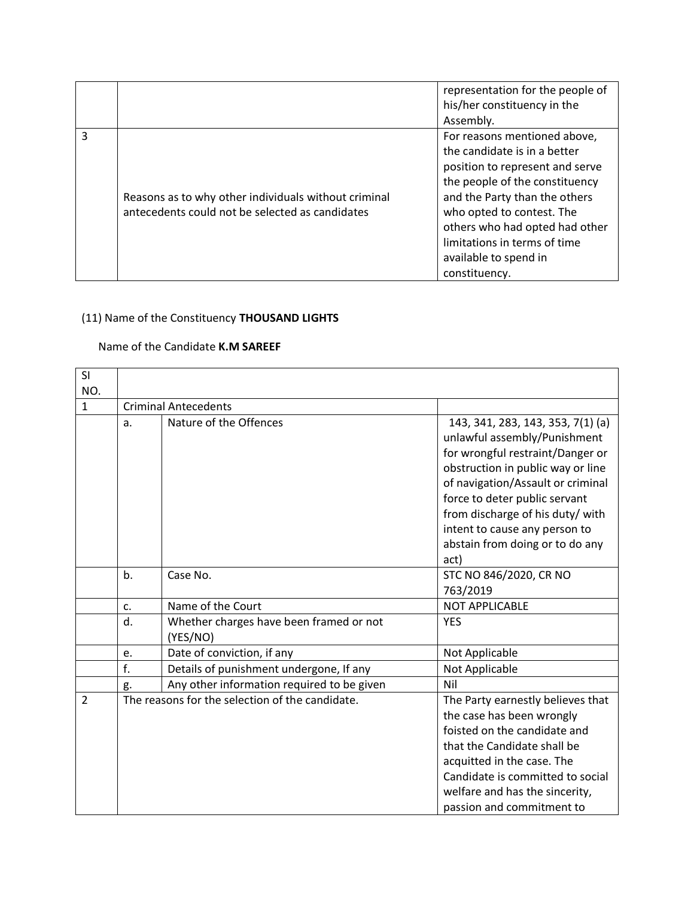|   |                                                      | representation for the people of<br>his/her constituency in the |
|---|------------------------------------------------------|-----------------------------------------------------------------|
|   |                                                      | Assembly.                                                       |
| 3 |                                                      | For reasons mentioned above,                                    |
|   |                                                      | the candidate is in a better                                    |
|   |                                                      | position to represent and serve                                 |
|   |                                                      | the people of the constituency                                  |
|   | Reasons as to why other individuals without criminal | and the Party than the others                                   |
|   | antecedents could not be selected as candidates      | who opted to contest. The                                       |
|   |                                                      | others who had opted had other                                  |
|   |                                                      | limitations in terms of time                                    |
|   |                                                      | available to spend in                                           |
|   |                                                      | constituency.                                                   |

### (11) Name of the Constituency **THOUSAND LIGHTS**

### Name of the Candidate **K.M SAREEF**

| SI             |    |                                                 |                                                                   |  |
|----------------|----|-------------------------------------------------|-------------------------------------------------------------------|--|
| NO.            |    | <b>Criminal Antecedents</b>                     |                                                                   |  |
| $\mathbf{1}$   |    |                                                 |                                                                   |  |
|                | a. | Nature of the Offences                          | 143, 341, 283, 143, 353, 7(1) (a)                                 |  |
|                |    |                                                 | unlawful assembly/Punishment                                      |  |
|                |    |                                                 | for wrongful restraint/Danger or                                  |  |
|                |    |                                                 | obstruction in public way or line                                 |  |
|                |    |                                                 | of navigation/Assault or criminal                                 |  |
|                |    |                                                 | force to deter public servant                                     |  |
|                |    |                                                 | from discharge of his duty/ with<br>intent to cause any person to |  |
|                |    |                                                 | abstain from doing or to do any                                   |  |
|                |    |                                                 | act)                                                              |  |
|                | b. | Case No.                                        | STC NO 846/2020, CR NO                                            |  |
|                |    |                                                 | 763/2019                                                          |  |
|                | c. | Name of the Court                               | <b>NOT APPLICABLE</b>                                             |  |
|                | d. | Whether charges have been framed or not         | <b>YES</b>                                                        |  |
|                |    | (YES/NO)                                        |                                                                   |  |
|                | e. | Date of conviction, if any                      | Not Applicable                                                    |  |
|                | f. | Details of punishment undergone, If any         | Not Applicable                                                    |  |
|                | g. | Any other information required to be given      | Nil                                                               |  |
| $\overline{2}$ |    | The reasons for the selection of the candidate. | The Party earnestly believes that                                 |  |
|                |    |                                                 | the case has been wrongly                                         |  |
|                |    |                                                 | foisted on the candidate and                                      |  |
|                |    |                                                 | that the Candidate shall be                                       |  |
|                |    |                                                 | acquitted in the case. The                                        |  |
|                |    |                                                 | Candidate is committed to social                                  |  |
|                |    |                                                 | welfare and has the sincerity,                                    |  |
|                |    |                                                 | passion and commitment to                                         |  |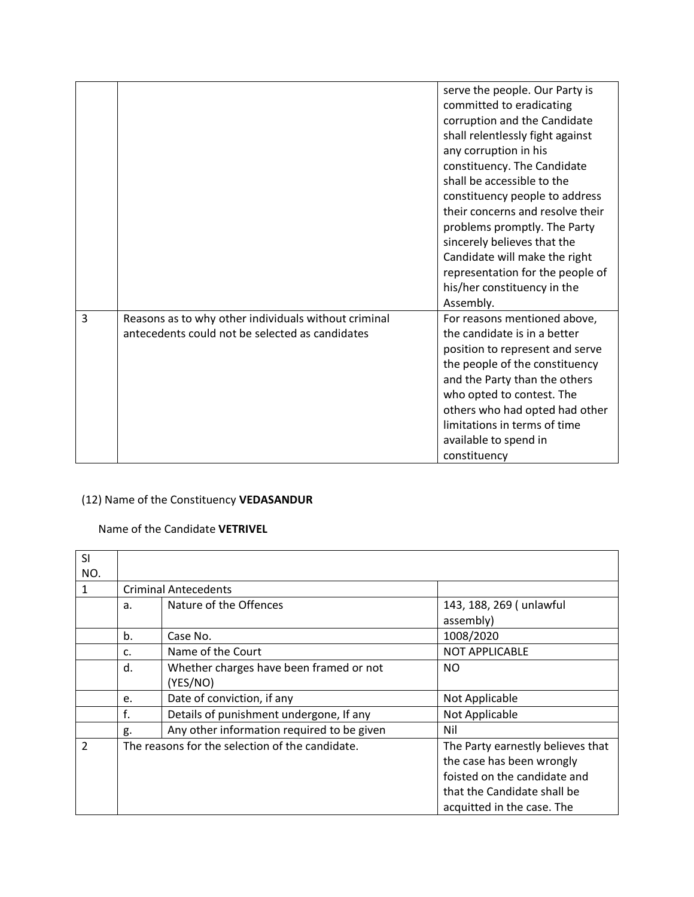|                |                                                                                                         | serve the people. Our Party is<br>committed to eradicating<br>corruption and the Candidate<br>shall relentlessly fight against<br>any corruption in his<br>constituency. The Candidate<br>shall be accessible to the<br>constituency people to address<br>their concerns and resolve their<br>problems promptly. The Party<br>sincerely believes that the<br>Candidate will make the right<br>representation for the people of<br>his/her constituency in the<br>Assembly. |
|----------------|---------------------------------------------------------------------------------------------------------|----------------------------------------------------------------------------------------------------------------------------------------------------------------------------------------------------------------------------------------------------------------------------------------------------------------------------------------------------------------------------------------------------------------------------------------------------------------------------|
| $\overline{3}$ | Reasons as to why other individuals without criminal<br>antecedents could not be selected as candidates | For reasons mentioned above,<br>the candidate is in a better<br>position to represent and serve<br>the people of the constituency<br>and the Party than the others<br>who opted to contest. The<br>others who had opted had other<br>limitations in terms of time<br>available to spend in<br>constituency                                                                                                                                                                 |

### (12) Name of the Constituency **VEDASANDUR**

### Name of the Candidate **VETRIVEL**

| SI             |                                                 |                                            |                                   |  |
|----------------|-------------------------------------------------|--------------------------------------------|-----------------------------------|--|
| NO.            |                                                 |                                            |                                   |  |
| 1              |                                                 | <b>Criminal Antecedents</b>                |                                   |  |
|                | a.                                              | Nature of the Offences                     | 143, 188, 269 (unlawful           |  |
|                |                                                 |                                            | assembly)                         |  |
|                | b.                                              | Case No.                                   | 1008/2020                         |  |
|                | c.                                              | Name of the Court                          | <b>NOT APPLICABLE</b>             |  |
|                | d.                                              | Whether charges have been framed or not    | NO.                               |  |
|                |                                                 | (YES/NO)                                   |                                   |  |
|                | e.                                              | Date of conviction, if any                 | Not Applicable                    |  |
|                | f.                                              | Details of punishment undergone, If any    | Not Applicable                    |  |
|                | g.                                              | Any other information required to be given | Nil                               |  |
| $\overline{2}$ | The reasons for the selection of the candidate. |                                            | The Party earnestly believes that |  |
|                |                                                 |                                            | the case has been wrongly         |  |
|                |                                                 |                                            | foisted on the candidate and      |  |
|                |                                                 |                                            | that the Candidate shall be       |  |
|                |                                                 |                                            | acquitted in the case. The        |  |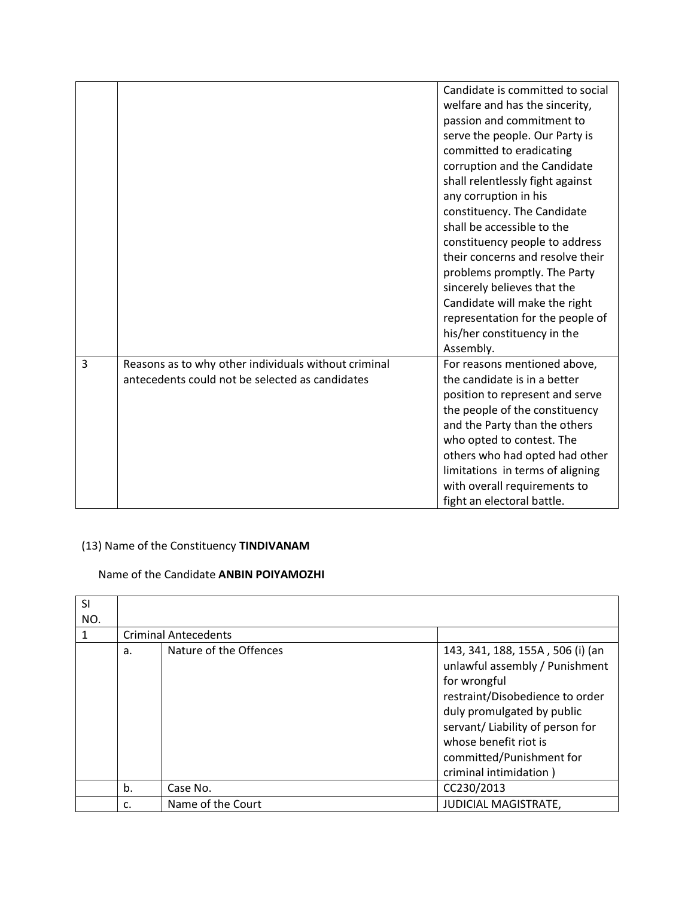|   |                                                                                                         | Candidate is committed to social<br>welfare and has the sincerity,<br>passion and commitment to<br>serve the people. Our Party is<br>committed to eradicating<br>corruption and the Candidate<br>shall relentlessly fight against<br>any corruption in his<br>constituency. The Candidate<br>shall be accessible to the<br>constituency people to address<br>their concerns and resolve their<br>problems promptly. The Party<br>sincerely believes that the<br>Candidate will make the right<br>representation for the people of<br>his/her constituency in the<br>Assembly. |
|---|---------------------------------------------------------------------------------------------------------|-------------------------------------------------------------------------------------------------------------------------------------------------------------------------------------------------------------------------------------------------------------------------------------------------------------------------------------------------------------------------------------------------------------------------------------------------------------------------------------------------------------------------------------------------------------------------------|
| 3 | Reasons as to why other individuals without criminal<br>antecedents could not be selected as candidates | For reasons mentioned above,<br>the candidate is in a better<br>position to represent and serve<br>the people of the constituency<br>and the Party than the others<br>who opted to contest. The<br>others who had opted had other<br>limitations in terms of aligning<br>with overall requirements to<br>fight an electoral battle.                                                                                                                                                                                                                                           |

# (13) Name of the Constituency **TINDIVANAM**

### Name of the Candidate **ANBIN POIYAMOZHI**

| SI<br>NO. |    |                             |                                                                                                                                                                                                                                                                        |
|-----------|----|-----------------------------|------------------------------------------------------------------------------------------------------------------------------------------------------------------------------------------------------------------------------------------------------------------------|
| 1         |    | <b>Criminal Antecedents</b> |                                                                                                                                                                                                                                                                        |
|           | a. | Nature of the Offences      | 143, 341, 188, 155A, 506 (i) (an<br>unlawful assembly / Punishment<br>for wrongful<br>restraint/Disobedience to order<br>duly promulgated by public<br>servant/ Liability of person for<br>whose benefit riot is<br>committed/Punishment for<br>criminal intimidation) |
|           | b. | Case No.                    | CC230/2013                                                                                                                                                                                                                                                             |
|           | c. | Name of the Court           | <b>JUDICIAL MAGISTRATE,</b>                                                                                                                                                                                                                                            |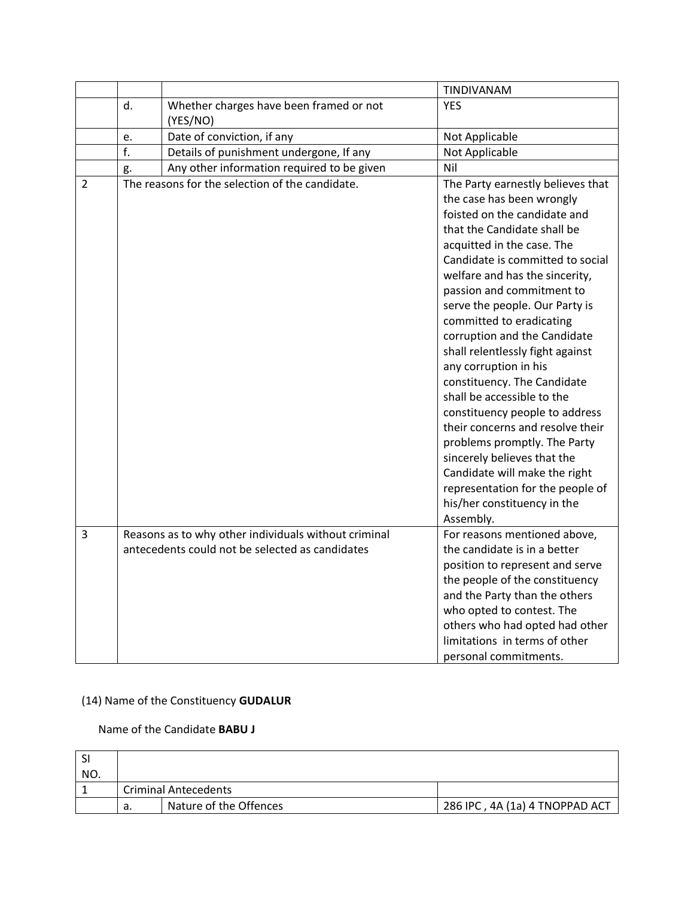|                |    |                                                      | TINDIVANAM                                                                                                                                                                                                                                                                                                                                                                                                                                                                                                                                                                                                                                                                                                                      |
|----------------|----|------------------------------------------------------|---------------------------------------------------------------------------------------------------------------------------------------------------------------------------------------------------------------------------------------------------------------------------------------------------------------------------------------------------------------------------------------------------------------------------------------------------------------------------------------------------------------------------------------------------------------------------------------------------------------------------------------------------------------------------------------------------------------------------------|
|                | d. | Whether charges have been framed or not<br>(YES/NO)  | <b>YES</b>                                                                                                                                                                                                                                                                                                                                                                                                                                                                                                                                                                                                                                                                                                                      |
|                | e. | Date of conviction, if any                           | Not Applicable                                                                                                                                                                                                                                                                                                                                                                                                                                                                                                                                                                                                                                                                                                                  |
|                | f. | Details of punishment undergone, If any              | Not Applicable                                                                                                                                                                                                                                                                                                                                                                                                                                                                                                                                                                                                                                                                                                                  |
|                | g. | Any other information required to be given           | Nil                                                                                                                                                                                                                                                                                                                                                                                                                                                                                                                                                                                                                                                                                                                             |
| $\overline{2}$ |    | The reasons for the selection of the candidate.      | The Party earnestly believes that<br>the case has been wrongly<br>foisted on the candidate and<br>that the Candidate shall be<br>acquitted in the case. The<br>Candidate is committed to social<br>welfare and has the sincerity,<br>passion and commitment to<br>serve the people. Our Party is<br>committed to eradicating<br>corruption and the Candidate<br>shall relentlessly fight against<br>any corruption in his<br>constituency. The Candidate<br>shall be accessible to the<br>constituency people to address<br>their concerns and resolve their<br>problems promptly. The Party<br>sincerely believes that the<br>Candidate will make the right<br>representation for the people of<br>his/her constituency in the |
| $\overline{3}$ |    | Reasons as to why other individuals without criminal | Assembly.<br>For reasons mentioned above,                                                                                                                                                                                                                                                                                                                                                                                                                                                                                                                                                                                                                                                                                       |
|                |    | antecedents could not be selected as candidates      | the candidate is in a better<br>position to represent and serve                                                                                                                                                                                                                                                                                                                                                                                                                                                                                                                                                                                                                                                                 |
|                |    |                                                      | the people of the constituency                                                                                                                                                                                                                                                                                                                                                                                                                                                                                                                                                                                                                                                                                                  |
|                |    |                                                      | and the Party than the others                                                                                                                                                                                                                                                                                                                                                                                                                                                                                                                                                                                                                                                                                                   |
|                |    |                                                      | who opted to contest. The                                                                                                                                                                                                                                                                                                                                                                                                                                                                                                                                                                                                                                                                                                       |
|                |    |                                                      | others who had opted had other                                                                                                                                                                                                                                                                                                                                                                                                                                                                                                                                                                                                                                                                                                  |
|                |    |                                                      | limitations in terms of other                                                                                                                                                                                                                                                                                                                                                                                                                                                                                                                                                                                                                                                                                                   |
|                |    |                                                      | personal commitments.                                                                                                                                                                                                                                                                                                                                                                                                                                                                                                                                                                                                                                                                                                           |

### (14) Name of the Constituency **GUDALUR**

### Name of the Candidate **BABU J**

| -SI |                             |                        |                                |
|-----|-----------------------------|------------------------|--------------------------------|
| NO. |                             |                        |                                |
|     | <b>Criminal Antecedents</b> |                        |                                |
|     | а.                          | Nature of the Offences | 286 IPC, 4A (1a) 4 TNOPPAD ACT |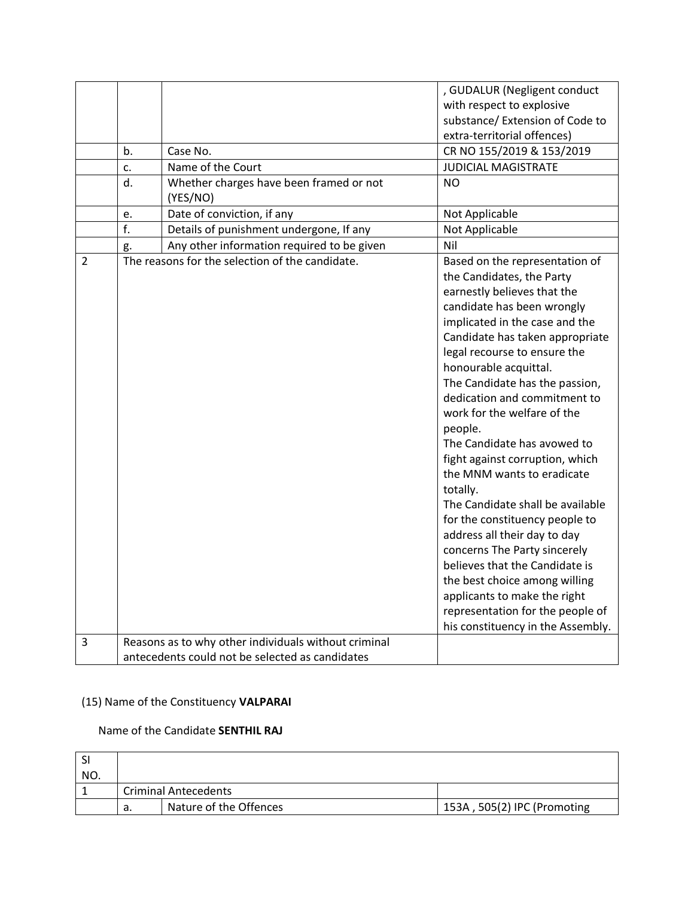|                     |    |                                                                                                         | , GUDALUR (Negligent conduct                                                                                                                                                                                                                                                                                                                                                                                                                                                                                                                                                                                                                                                                                                                                                                     |
|---------------------|----|---------------------------------------------------------------------------------------------------------|--------------------------------------------------------------------------------------------------------------------------------------------------------------------------------------------------------------------------------------------------------------------------------------------------------------------------------------------------------------------------------------------------------------------------------------------------------------------------------------------------------------------------------------------------------------------------------------------------------------------------------------------------------------------------------------------------------------------------------------------------------------------------------------------------|
|                     |    |                                                                                                         | with respect to explosive                                                                                                                                                                                                                                                                                                                                                                                                                                                                                                                                                                                                                                                                                                                                                                        |
|                     |    |                                                                                                         | substance/ Extension of Code to                                                                                                                                                                                                                                                                                                                                                                                                                                                                                                                                                                                                                                                                                                                                                                  |
|                     |    |                                                                                                         | extra-territorial offences)                                                                                                                                                                                                                                                                                                                                                                                                                                                                                                                                                                                                                                                                                                                                                                      |
|                     | b. | Case No.                                                                                                | CR NO 155/2019 & 153/2019                                                                                                                                                                                                                                                                                                                                                                                                                                                                                                                                                                                                                                                                                                                                                                        |
|                     | c. | Name of the Court                                                                                       | <b>JUDICIAL MAGISTRATE</b>                                                                                                                                                                                                                                                                                                                                                                                                                                                                                                                                                                                                                                                                                                                                                                       |
|                     | d. | Whether charges have been framed or not<br>(YES/NO)                                                     | <b>NO</b>                                                                                                                                                                                                                                                                                                                                                                                                                                                                                                                                                                                                                                                                                                                                                                                        |
|                     | e. | Date of conviction, if any                                                                              | Not Applicable                                                                                                                                                                                                                                                                                                                                                                                                                                                                                                                                                                                                                                                                                                                                                                                   |
|                     | f. | Details of punishment undergone, If any                                                                 | Not Applicable                                                                                                                                                                                                                                                                                                                                                                                                                                                                                                                                                                                                                                                                                                                                                                                   |
|                     | g. | Any other information required to be given                                                              | Nil                                                                                                                                                                                                                                                                                                                                                                                                                                                                                                                                                                                                                                                                                                                                                                                              |
| $\overline{2}$<br>3 |    | The reasons for the selection of the candidate.<br>Reasons as to why other individuals without criminal | Based on the representation of<br>the Candidates, the Party<br>earnestly believes that the<br>candidate has been wrongly<br>implicated in the case and the<br>Candidate has taken appropriate<br>legal recourse to ensure the<br>honourable acquittal.<br>The Candidate has the passion,<br>dedication and commitment to<br>work for the welfare of the<br>people.<br>The Candidate has avowed to<br>fight against corruption, which<br>the MNM wants to eradicate<br>totally.<br>The Candidate shall be available<br>for the constituency people to<br>address all their day to day<br>concerns The Party sincerely<br>believes that the Candidate is<br>the best choice among willing<br>applicants to make the right<br>representation for the people of<br>his constituency in the Assembly. |
|                     |    |                                                                                                         |                                                                                                                                                                                                                                                                                                                                                                                                                                                                                                                                                                                                                                                                                                                                                                                                  |
|                     |    | antecedents could not be selected as candidates                                                         |                                                                                                                                                                                                                                                                                                                                                                                                                                                                                                                                                                                                                                                                                                                                                                                                  |

### (15) Name of the Constituency **VALPARAI**

#### Name of the Candidate **SENTHIL RAJ**

| -SI |                             |                        |                             |
|-----|-----------------------------|------------------------|-----------------------------|
| NO. |                             |                        |                             |
|     | <b>Criminal Antecedents</b> |                        |                             |
|     | а.                          | Nature of the Offences | 153A, 505(2) IPC (Promoting |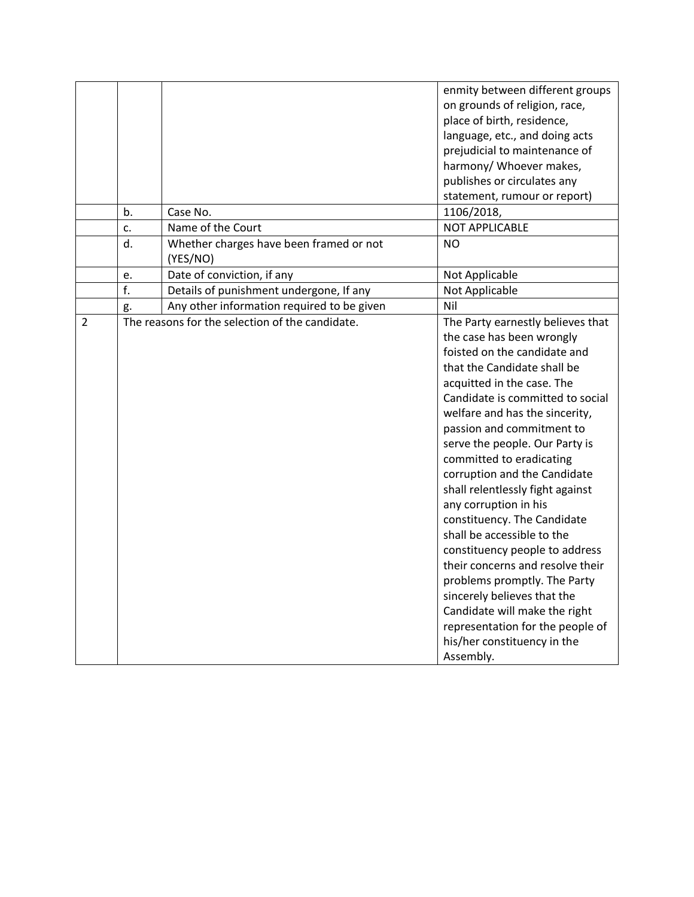|                |    |                                                 | enmity between different groups   |
|----------------|----|-------------------------------------------------|-----------------------------------|
|                |    |                                                 | on grounds of religion, race,     |
|                |    |                                                 | place of birth, residence,        |
|                |    |                                                 | language, etc., and doing acts    |
|                |    |                                                 | prejudicial to maintenance of     |
|                |    |                                                 | harmony/ Whoever makes,           |
|                |    |                                                 | publishes or circulates any       |
|                |    |                                                 | statement, rumour or report)      |
|                | b. | Case No.                                        | 1106/2018,                        |
|                | c. | Name of the Court                               | <b>NOT APPLICABLE</b>             |
|                | d. | Whether charges have been framed or not         | <b>NO</b>                         |
|                |    | (YES/NO)                                        |                                   |
|                | e. | Date of conviction, if any                      | Not Applicable                    |
|                | f. | Details of punishment undergone, If any         | Not Applicable                    |
|                | g. | Any other information required to be given      | Nil                               |
| $\overline{2}$ |    | The reasons for the selection of the candidate. | The Party earnestly believes that |
|                |    |                                                 | the case has been wrongly         |
|                |    |                                                 | foisted on the candidate and      |
|                |    |                                                 | that the Candidate shall be       |
|                |    |                                                 | acquitted in the case. The        |
|                |    |                                                 | Candidate is committed to social  |
|                |    |                                                 | welfare and has the sincerity,    |
|                |    |                                                 | passion and commitment to         |
|                |    |                                                 | serve the people. Our Party is    |
|                |    |                                                 | committed to eradicating          |
|                |    |                                                 | corruption and the Candidate      |
|                |    |                                                 | shall relentlessly fight against  |
|                |    |                                                 | any corruption in his             |
|                |    |                                                 | constituency. The Candidate       |
|                |    |                                                 | shall be accessible to the        |
|                |    |                                                 | constituency people to address    |
|                |    |                                                 | their concerns and resolve their  |
|                |    |                                                 | problems promptly. The Party      |
|                |    |                                                 | sincerely believes that the       |
|                |    |                                                 | Candidate will make the right     |
|                |    |                                                 | representation for the people of  |
|                |    |                                                 | his/her constituency in the       |
|                |    |                                                 | Assembly.                         |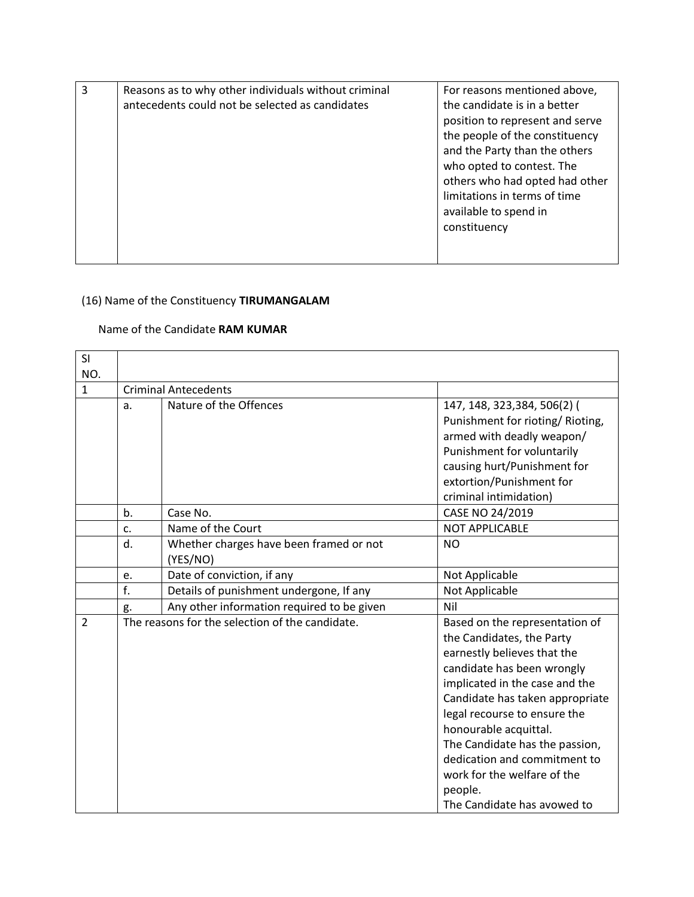| 3 | Reasons as to why other individuals without criminal | For reasons mentioned above,    |
|---|------------------------------------------------------|---------------------------------|
|   | antecedents could not be selected as candidates      | the candidate is in a better    |
|   |                                                      | position to represent and serve |
|   |                                                      | the people of the constituency  |
|   |                                                      | and the Party than the others   |
|   |                                                      | who opted to contest. The       |
|   |                                                      | others who had opted had other  |
|   |                                                      | limitations in terms of time    |
|   |                                                      | available to spend in           |
|   |                                                      | constituency                    |
|   |                                                      |                                 |
|   |                                                      |                                 |

# (16) Name of the Constituency **TIRUMANGALAM**

### Name of the Candidate **RAM KUMAR**

| SI             |                             |                                                 |                                  |
|----------------|-----------------------------|-------------------------------------------------|----------------------------------|
| NO.            |                             |                                                 |                                  |
| $\mathbf{1}$   | <b>Criminal Antecedents</b> |                                                 |                                  |
|                | a.                          | Nature of the Offences                          | 147, 148, 323, 384, 506(2) (     |
|                |                             |                                                 | Punishment for rioting/ Rioting, |
|                |                             |                                                 | armed with deadly weapon/        |
|                |                             |                                                 | Punishment for voluntarily       |
|                |                             |                                                 | causing hurt/Punishment for      |
|                |                             |                                                 | extortion/Punishment for         |
|                |                             |                                                 | criminal intimidation)           |
|                | b.                          | Case No.                                        | CASE NO 24/2019                  |
|                | c.                          | Name of the Court                               | <b>NOT APPLICABLE</b>            |
|                | d.                          | Whether charges have been framed or not         | <b>NO</b>                        |
|                |                             | (YES/NO)                                        |                                  |
|                | e.                          | Date of conviction, if any                      | Not Applicable                   |
|                | f.                          | Details of punishment undergone, If any         | Not Applicable                   |
|                | g.                          | Any other information required to be given      | Nil                              |
| $\overline{2}$ |                             | The reasons for the selection of the candidate. | Based on the representation of   |
|                |                             |                                                 | the Candidates, the Party        |
|                |                             |                                                 | earnestly believes that the      |
|                |                             |                                                 | candidate has been wrongly       |
|                |                             |                                                 | implicated in the case and the   |
|                |                             |                                                 | Candidate has taken appropriate  |
|                |                             |                                                 | legal recourse to ensure the     |
|                |                             |                                                 | honourable acquittal.            |
|                |                             |                                                 | The Candidate has the passion,   |
|                |                             |                                                 | dedication and commitment to     |
|                |                             |                                                 | work for the welfare of the      |
|                |                             |                                                 | people.                          |
|                |                             |                                                 | The Candidate has avowed to      |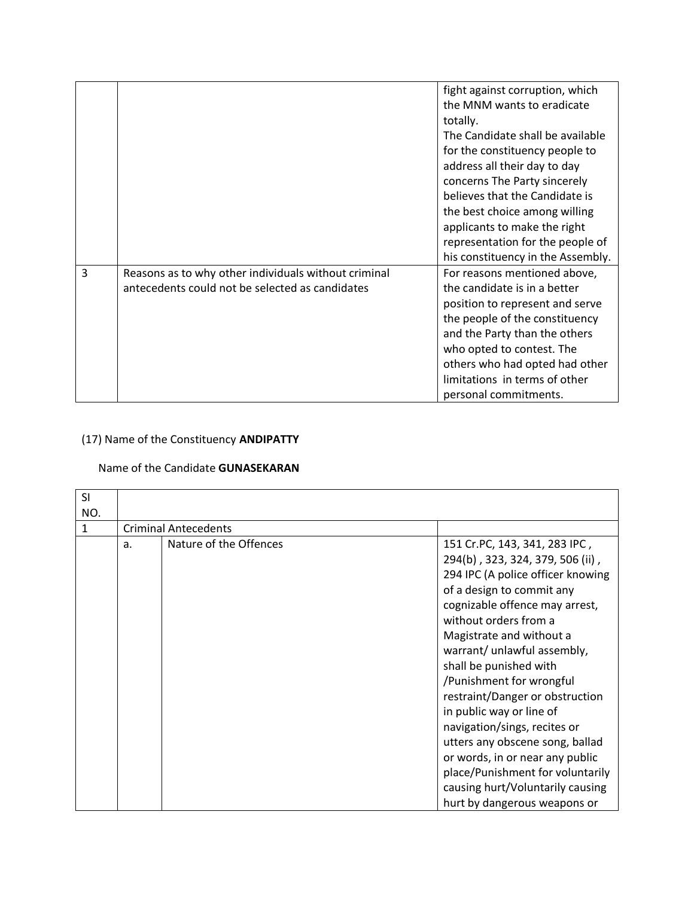|   |                                                      | fight against corruption, which   |
|---|------------------------------------------------------|-----------------------------------|
|   |                                                      | the MNM wants to eradicate        |
|   |                                                      | totally.                          |
|   |                                                      | The Candidate shall be available  |
|   |                                                      | for the constituency people to    |
|   |                                                      | address all their day to day      |
|   |                                                      | concerns The Party sincerely      |
|   |                                                      | believes that the Candidate is    |
|   |                                                      | the best choice among willing     |
|   |                                                      | applicants to make the right      |
|   |                                                      | representation for the people of  |
|   |                                                      | his constituency in the Assembly. |
| 3 | Reasons as to why other individuals without criminal | For reasons mentioned above,      |
|   | antecedents could not be selected as candidates      | the candidate is in a better      |
|   |                                                      | position to represent and serve   |
|   |                                                      | the people of the constituency    |
|   |                                                      | and the Party than the others     |
|   |                                                      | who opted to contest. The         |
|   |                                                      | others who had opted had other    |
|   |                                                      | limitations in terms of other     |
|   |                                                      | personal commitments.             |

# (17) Name of the Constituency **ANDIPATTY**

### Name of the Candidate **GUNASEKARAN**

| <b>SI</b> |    |                             |                                                                                                                                                                                                                                                                                                                                                                                                                                                                                                                                                                                              |
|-----------|----|-----------------------------|----------------------------------------------------------------------------------------------------------------------------------------------------------------------------------------------------------------------------------------------------------------------------------------------------------------------------------------------------------------------------------------------------------------------------------------------------------------------------------------------------------------------------------------------------------------------------------------------|
| NO.       |    |                             |                                                                                                                                                                                                                                                                                                                                                                                                                                                                                                                                                                                              |
| 1         |    | <b>Criminal Antecedents</b> |                                                                                                                                                                                                                                                                                                                                                                                                                                                                                                                                                                                              |
|           | a. | Nature of the Offences      | 151 Cr.PC, 143, 341, 283 IPC,<br>294(b), 323, 324, 379, 506 (ii),<br>294 IPC (A police officer knowing<br>of a design to commit any<br>cognizable offence may arrest,<br>without orders from a<br>Magistrate and without a<br>warrant/ unlawful assembly,<br>shall be punished with<br>/Punishment for wrongful<br>restraint/Danger or obstruction<br>in public way or line of<br>navigation/sings, recites or<br>utters any obscene song, ballad<br>or words, in or near any public<br>place/Punishment for voluntarily<br>causing hurt/Voluntarily causing<br>hurt by dangerous weapons or |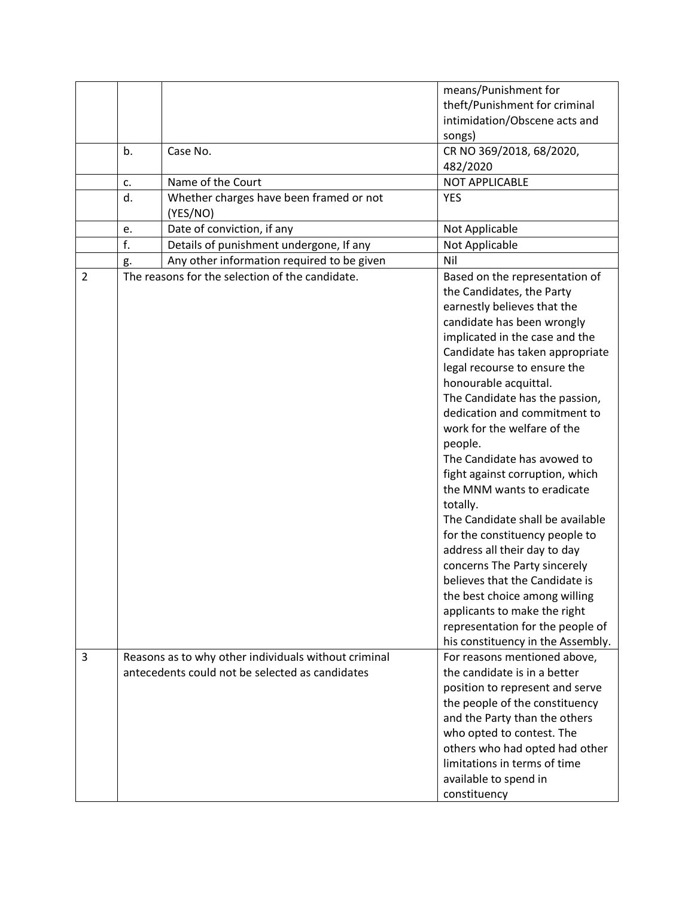|                |    |                                                      | means/Punishment for              |
|----------------|----|------------------------------------------------------|-----------------------------------|
|                |    |                                                      | theft/Punishment for criminal     |
|                |    |                                                      | intimidation/Obscene acts and     |
|                |    |                                                      | songs)                            |
|                | b. | Case No.                                             | CR NO 369/2018, 68/2020,          |
|                |    |                                                      | 482/2020                          |
|                |    |                                                      |                                   |
|                | c. | Name of the Court                                    | <b>NOT APPLICABLE</b>             |
|                | d. | Whether charges have been framed or not              | <b>YES</b>                        |
|                |    | (YES/NO)                                             |                                   |
|                | e. | Date of conviction, if any                           | Not Applicable                    |
|                | f. | Details of punishment undergone, If any              | Not Applicable                    |
|                | g. | Any other information required to be given           | Nil                               |
| $\overline{2}$ |    | The reasons for the selection of the candidate.      | Based on the representation of    |
|                |    |                                                      | the Candidates, the Party         |
|                |    |                                                      | earnestly believes that the       |
|                |    |                                                      | candidate has been wrongly        |
|                |    |                                                      | implicated in the case and the    |
|                |    |                                                      | Candidate has taken appropriate   |
|                |    |                                                      | legal recourse to ensure the      |
|                |    |                                                      | honourable acquittal.             |
|                |    |                                                      | The Candidate has the passion,    |
|                |    |                                                      | dedication and commitment to      |
|                |    |                                                      | work for the welfare of the       |
|                |    |                                                      | people.                           |
|                |    |                                                      | The Candidate has avowed to       |
|                |    |                                                      | fight against corruption, which   |
|                |    |                                                      | the MNM wants to eradicate        |
|                |    |                                                      | totally.                          |
|                |    |                                                      | The Candidate shall be available  |
|                |    |                                                      |                                   |
|                |    |                                                      | for the constituency people to    |
|                |    |                                                      | address all their day to day      |
|                |    |                                                      | concerns The Party sincerely      |
|                |    |                                                      | believes that the Candidate is    |
|                |    |                                                      | the best choice among willing     |
|                |    |                                                      | applicants to make the right      |
|                |    |                                                      | representation for the people of  |
|                |    |                                                      | his constituency in the Assembly. |
| 3              |    | Reasons as to why other individuals without criminal | For reasons mentioned above,      |
|                |    | antecedents could not be selected as candidates      | the candidate is in a better      |
|                |    |                                                      | position to represent and serve   |
|                |    |                                                      | the people of the constituency    |
|                |    |                                                      | and the Party than the others     |
|                |    |                                                      | who opted to contest. The         |
|                |    |                                                      | others who had opted had other    |
|                |    |                                                      | limitations in terms of time      |
|                |    |                                                      |                                   |
|                |    |                                                      | available to spend in             |
|                |    |                                                      | constituency                      |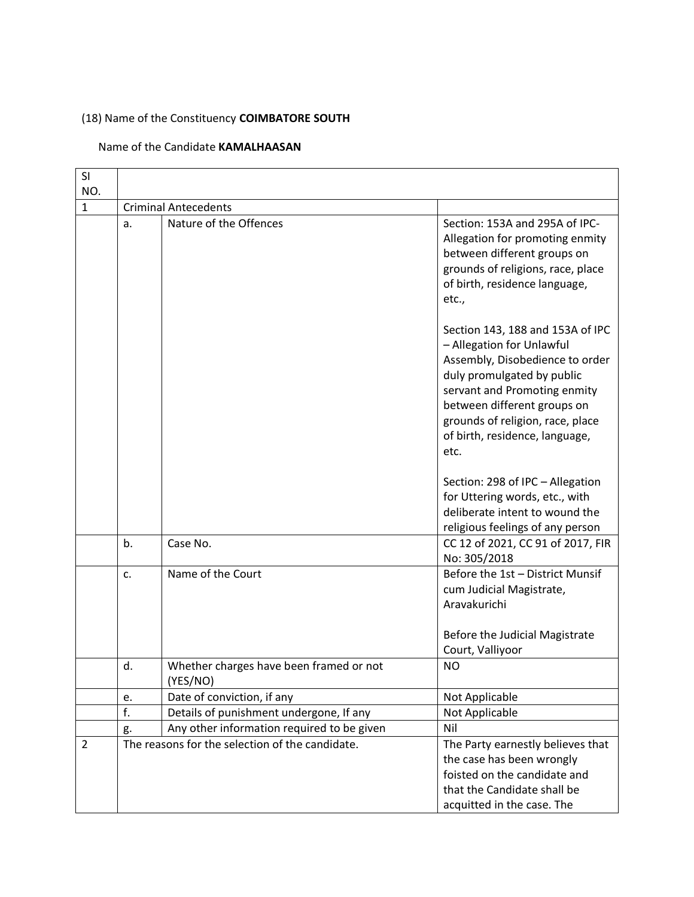### (18) Name of the Constituency **COIMBATORE SOUTH**

### Name of the Candidate **KAMALHAASAN**

| SI                  |                  |                                                       |                                                                                                                                                                                                                                                                             |
|---------------------|------------------|-------------------------------------------------------|-----------------------------------------------------------------------------------------------------------------------------------------------------------------------------------------------------------------------------------------------------------------------------|
| NO.<br>$\mathbf{1}$ |                  |                                                       |                                                                                                                                                                                                                                                                             |
|                     | a.               | <b>Criminal Antecedents</b><br>Nature of the Offences | Section: 153A and 295A of IPC-<br>Allegation for promoting enmity<br>between different groups on<br>grounds of religions, race, place                                                                                                                                       |
|                     |                  |                                                       | of birth, residence language,<br>etc.,                                                                                                                                                                                                                                      |
|                     |                  |                                                       | Section 143, 188 and 153A of IPC<br>- Allegation for Unlawful<br>Assembly, Disobedience to order<br>duly promulgated by public<br>servant and Promoting enmity<br>between different groups on<br>grounds of religion, race, place<br>of birth, residence, language,<br>etc. |
|                     |                  |                                                       | Section: 298 of IPC - Allegation<br>for Uttering words, etc., with<br>deliberate intent to wound the<br>religious feelings of any person                                                                                                                                    |
|                     | b.               | Case No.                                              | CC 12 of 2021, CC 91 of 2017, FIR<br>No: 305/2018                                                                                                                                                                                                                           |
|                     | C.               | Name of the Court                                     | Before the 1st - District Munsif<br>cum Judicial Magistrate,<br>Aravakurichi                                                                                                                                                                                                |
|                     |                  |                                                       | Before the Judicial Magistrate<br>Court, Valliyoor                                                                                                                                                                                                                          |
|                     | d.               | Whether charges have been framed or not<br>(YES/NO)   | N <sub>O</sub>                                                                                                                                                                                                                                                              |
|                     | e.               | Date of conviction, if any                            | Not Applicable                                                                                                                                                                                                                                                              |
|                     | $\overline{f}$ . | Details of punishment undergone, If any               | Not Applicable                                                                                                                                                                                                                                                              |
|                     | g.               | Any other information required to be given            | Nil                                                                                                                                                                                                                                                                         |
| $\overline{2}$      |                  | The reasons for the selection of the candidate.       | The Party earnestly believes that<br>the case has been wrongly<br>foisted on the candidate and<br>that the Candidate shall be<br>acquitted in the case. The                                                                                                                 |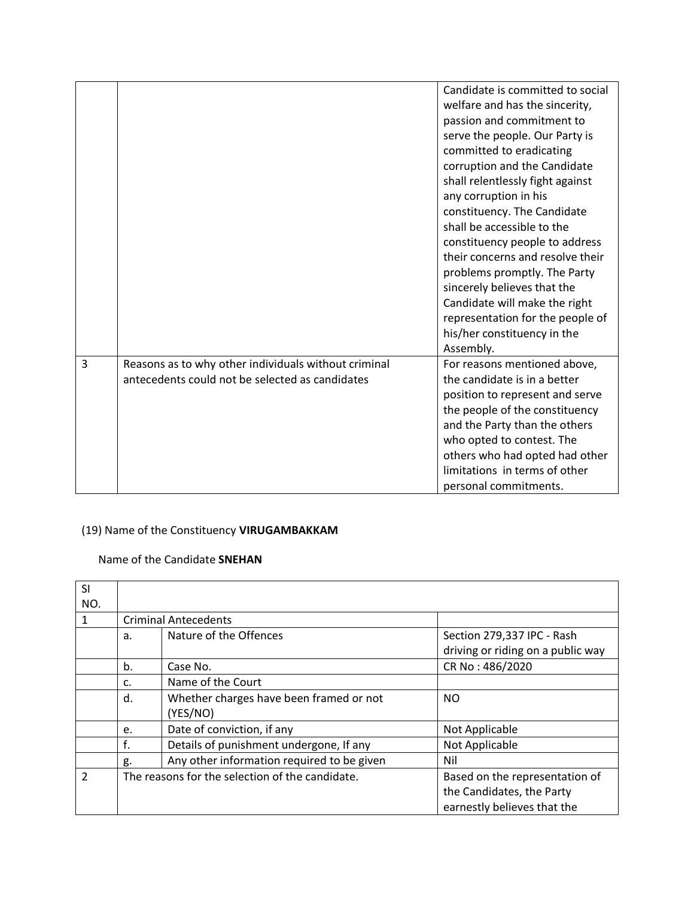|   |                                                                                                         | Candidate is committed to social<br>welfare and has the sincerity,<br>passion and commitment to<br>serve the people. Our Party is<br>committed to eradicating<br>corruption and the Candidate<br>shall relentlessly fight against<br>any corruption in his<br>constituency. The Candidate<br>shall be accessible to the<br>constituency people to address<br>their concerns and resolve their<br>problems promptly. The Party<br>sincerely believes that the<br>Candidate will make the right<br>representation for the people of<br>his/her constituency in the |
|---|---------------------------------------------------------------------------------------------------------|------------------------------------------------------------------------------------------------------------------------------------------------------------------------------------------------------------------------------------------------------------------------------------------------------------------------------------------------------------------------------------------------------------------------------------------------------------------------------------------------------------------------------------------------------------------|
|   |                                                                                                         | Assembly.                                                                                                                                                                                                                                                                                                                                                                                                                                                                                                                                                        |
| 3 | Reasons as to why other individuals without criminal<br>antecedents could not be selected as candidates | For reasons mentioned above,<br>the candidate is in a better<br>position to represent and serve<br>the people of the constituency<br>and the Party than the others<br>who opted to contest. The<br>others who had opted had other<br>limitations in terms of other<br>personal commitments.                                                                                                                                                                                                                                                                      |

### (19) Name of the Constituency **VIRUGAMBAKKAM**

#### Name of the Candidate **SNEHAN**

| <b>SI</b>      |                                                 |                                            |                                   |  |
|----------------|-------------------------------------------------|--------------------------------------------|-----------------------------------|--|
| NO.            |                                                 |                                            |                                   |  |
| 1              |                                                 | <b>Criminal Antecedents</b>                |                                   |  |
|                | a.                                              | Nature of the Offences                     | Section 279,337 IPC - Rash        |  |
|                |                                                 |                                            | driving or riding on a public way |  |
|                | b.                                              | Case No.                                   | CR No: 486/2020                   |  |
|                | C.                                              | Name of the Court                          |                                   |  |
|                | d.                                              | Whether charges have been framed or not    | <b>NO</b>                         |  |
|                |                                                 | (YES/NO)                                   |                                   |  |
|                | e.                                              | Date of conviction, if any                 | Not Applicable                    |  |
|                | f.                                              | Details of punishment undergone, If any    | Not Applicable                    |  |
|                | g.                                              | Any other information required to be given | Nil                               |  |
| $\mathfrak{p}$ | The reasons for the selection of the candidate. |                                            | Based on the representation of    |  |
|                |                                                 |                                            | the Candidates, the Party         |  |
|                |                                                 |                                            | earnestly believes that the       |  |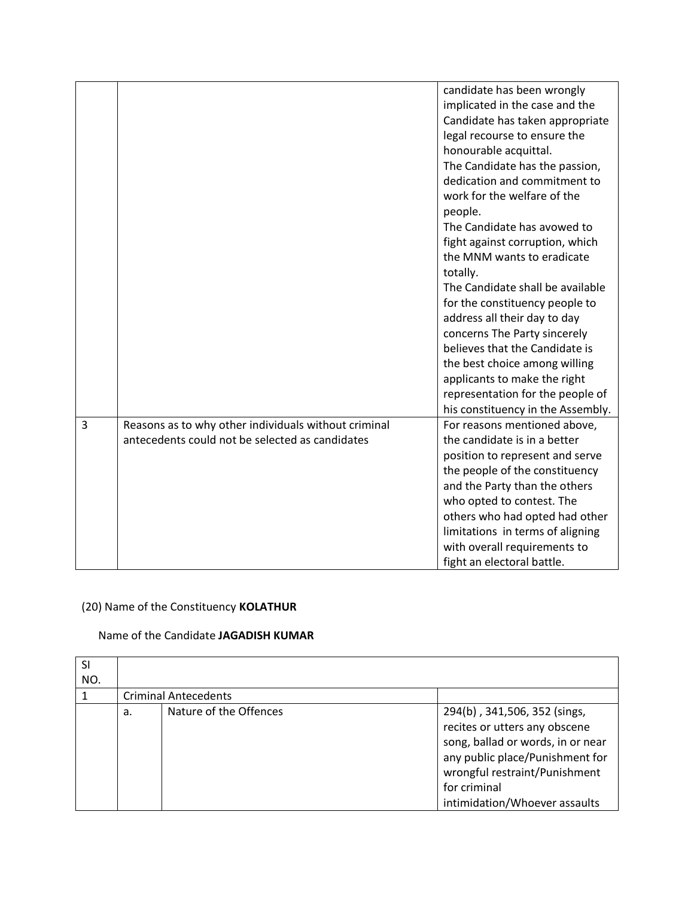|                |                                                      | candidate has been wrongly        |
|----------------|------------------------------------------------------|-----------------------------------|
|                |                                                      | implicated in the case and the    |
|                |                                                      | Candidate has taken appropriate   |
|                |                                                      | legal recourse to ensure the      |
|                |                                                      |                                   |
|                |                                                      | honourable acquittal.             |
|                |                                                      | The Candidate has the passion,    |
|                |                                                      | dedication and commitment to      |
|                |                                                      | work for the welfare of the       |
|                |                                                      | people.                           |
|                |                                                      | The Candidate has avowed to       |
|                |                                                      | fight against corruption, which   |
|                |                                                      | the MNM wants to eradicate        |
|                |                                                      | totally.                          |
|                |                                                      | The Candidate shall be available  |
|                |                                                      | for the constituency people to    |
|                |                                                      | address all their day to day      |
|                |                                                      | concerns The Party sincerely      |
|                |                                                      | believes that the Candidate is    |
|                |                                                      | the best choice among willing     |
|                |                                                      | applicants to make the right      |
|                |                                                      | representation for the people of  |
|                |                                                      | his constituency in the Assembly. |
| $\overline{3}$ | Reasons as to why other individuals without criminal | For reasons mentioned above,      |
|                | antecedents could not be selected as candidates      | the candidate is in a better      |
|                |                                                      | position to represent and serve   |
|                |                                                      | the people of the constituency    |
|                |                                                      | and the Party than the others     |
|                |                                                      | who opted to contest. The         |
|                |                                                      | others who had opted had other    |
|                |                                                      | limitations in terms of aligning  |
|                |                                                      | with overall requirements to      |
|                |                                                      | fight an electoral battle.        |

# (20) Name of the Constituency **KOLATHUR**

#### Name of the Candidate **JAGADISH KUMAR**

| SI<br>NO. |    |                             |                                                                                                                                                                                                                          |
|-----------|----|-----------------------------|--------------------------------------------------------------------------------------------------------------------------------------------------------------------------------------------------------------------------|
|           |    | <b>Criminal Antecedents</b> |                                                                                                                                                                                                                          |
|           | a. | Nature of the Offences      | 294(b), 341, 506, 352 (sings,<br>recites or utters any obscene<br>song, ballad or words, in or near<br>any public place/Punishment for<br>wrongful restraint/Punishment<br>for criminal<br>intimidation/Whoever assaults |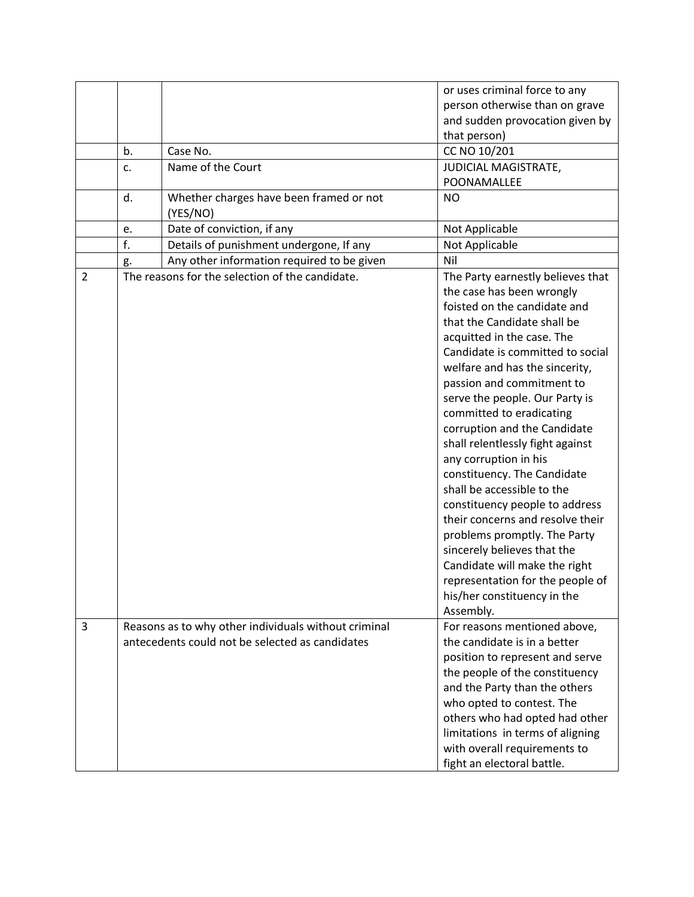|                |    |                                                      | or uses criminal force to any                             |
|----------------|----|------------------------------------------------------|-----------------------------------------------------------|
|                |    |                                                      | person otherwise than on grave                            |
|                |    |                                                      | and sudden provocation given by                           |
|                |    |                                                      | that person)                                              |
|                | b. | Case No.                                             | CC NO 10/201                                              |
|                | c. | Name of the Court                                    | JUDICIAL MAGISTRATE,                                      |
|                |    |                                                      | POONAMALLEE                                               |
|                | d. | Whether charges have been framed or not              | <b>NO</b>                                                 |
|                |    | (YES/NO)                                             |                                                           |
|                | e. | Date of conviction, if any                           | Not Applicable                                            |
|                | f. | Details of punishment undergone, If any              | Not Applicable                                            |
|                | g. | Any other information required to be given           | Nil                                                       |
| $\overline{2}$ |    | The reasons for the selection of the candidate.      | The Party earnestly believes that                         |
|                |    |                                                      | the case has been wrongly                                 |
|                |    |                                                      | foisted on the candidate and                              |
|                |    |                                                      | that the Candidate shall be                               |
|                |    |                                                      | acquitted in the case. The                                |
|                |    |                                                      | Candidate is committed to social                          |
|                |    |                                                      | welfare and has the sincerity,                            |
|                |    |                                                      | passion and commitment to                                 |
|                |    |                                                      | serve the people. Our Party is                            |
|                |    |                                                      | committed to eradicating                                  |
|                |    |                                                      | corruption and the Candidate                              |
|                |    |                                                      | shall relentlessly fight against                          |
|                |    |                                                      |                                                           |
|                |    |                                                      | any corruption in his                                     |
|                |    |                                                      | constituency. The Candidate<br>shall be accessible to the |
|                |    |                                                      |                                                           |
|                |    |                                                      | constituency people to address                            |
|                |    |                                                      | their concerns and resolve their                          |
|                |    |                                                      | problems promptly. The Party                              |
|                |    |                                                      | sincerely believes that the                               |
|                |    |                                                      | Candidate will make the right                             |
|                |    |                                                      | representation for the people of                          |
|                |    |                                                      | his/her constituency in the                               |
|                |    |                                                      | Assembly.                                                 |
| 3              |    | Reasons as to why other individuals without criminal | For reasons mentioned above,                              |
|                |    | antecedents could not be selected as candidates      | the candidate is in a better                              |
|                |    |                                                      | position to represent and serve                           |
|                |    |                                                      | the people of the constituency                            |
|                |    |                                                      | and the Party than the others                             |
|                |    |                                                      | who opted to contest. The                                 |
|                |    |                                                      | others who had opted had other                            |
|                |    |                                                      | limitations in terms of aligning                          |
|                |    |                                                      | with overall requirements to                              |
|                |    |                                                      | fight an electoral battle.                                |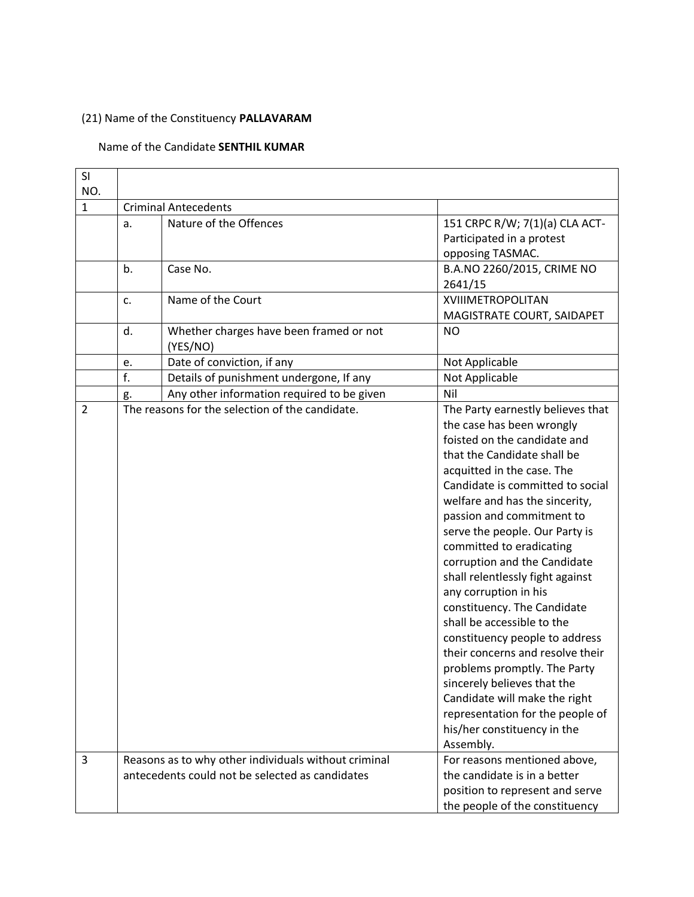### (21) Name of the Constituency **PALLAVARAM**

#### Name of the Candidate **SENTHIL KUMAR**

| SI<br>NO.      |                             |                                                                                                         |                                                                                                                                                                                                                                                                                                                                                                                                                                                                                                                                                                                                                                                                                                                                              |  |
|----------------|-----------------------------|---------------------------------------------------------------------------------------------------------|----------------------------------------------------------------------------------------------------------------------------------------------------------------------------------------------------------------------------------------------------------------------------------------------------------------------------------------------------------------------------------------------------------------------------------------------------------------------------------------------------------------------------------------------------------------------------------------------------------------------------------------------------------------------------------------------------------------------------------------------|--|
| $\mathbf{1}$   | <b>Criminal Antecedents</b> |                                                                                                         |                                                                                                                                                                                                                                                                                                                                                                                                                                                                                                                                                                                                                                                                                                                                              |  |
|                | a.                          | Nature of the Offences                                                                                  | 151 CRPC R/W; 7(1)(a) CLA ACT-<br>Participated in a protest                                                                                                                                                                                                                                                                                                                                                                                                                                                                                                                                                                                                                                                                                  |  |
|                | b.                          | Case No.                                                                                                | opposing TASMAC.<br>B.A.NO 2260/2015, CRIME NO<br>2641/15                                                                                                                                                                                                                                                                                                                                                                                                                                                                                                                                                                                                                                                                                    |  |
|                | c.                          | Name of the Court                                                                                       | <b>XVIIIMETROPOLITAN</b><br>MAGISTRATE COURT, SAIDAPET                                                                                                                                                                                                                                                                                                                                                                                                                                                                                                                                                                                                                                                                                       |  |
|                | d.                          | Whether charges have been framed or not<br>(YES/NO)                                                     | <b>NO</b>                                                                                                                                                                                                                                                                                                                                                                                                                                                                                                                                                                                                                                                                                                                                    |  |
|                | e.                          | Date of conviction, if any                                                                              | Not Applicable                                                                                                                                                                                                                                                                                                                                                                                                                                                                                                                                                                                                                                                                                                                               |  |
|                | f.                          | Details of punishment undergone, If any                                                                 | Not Applicable                                                                                                                                                                                                                                                                                                                                                                                                                                                                                                                                                                                                                                                                                                                               |  |
|                | g.                          | Any other information required to be given                                                              | Nil                                                                                                                                                                                                                                                                                                                                                                                                                                                                                                                                                                                                                                                                                                                                          |  |
| $\overline{2}$ |                             | The reasons for the selection of the candidate.                                                         | The Party earnestly believes that<br>the case has been wrongly<br>foisted on the candidate and<br>that the Candidate shall be<br>acquitted in the case. The<br>Candidate is committed to social<br>welfare and has the sincerity,<br>passion and commitment to<br>serve the people. Our Party is<br>committed to eradicating<br>corruption and the Candidate<br>shall relentlessly fight against<br>any corruption in his<br>constituency. The Candidate<br>shall be accessible to the<br>constituency people to address<br>their concerns and resolve their<br>problems promptly. The Party<br>sincerely believes that the<br>Candidate will make the right<br>representation for the people of<br>his/her constituency in the<br>Assembly. |  |
| 3              |                             | Reasons as to why other individuals without criminal<br>antecedents could not be selected as candidates | For reasons mentioned above,<br>the candidate is in a better<br>position to represent and serve<br>the people of the constituency                                                                                                                                                                                                                                                                                                                                                                                                                                                                                                                                                                                                            |  |